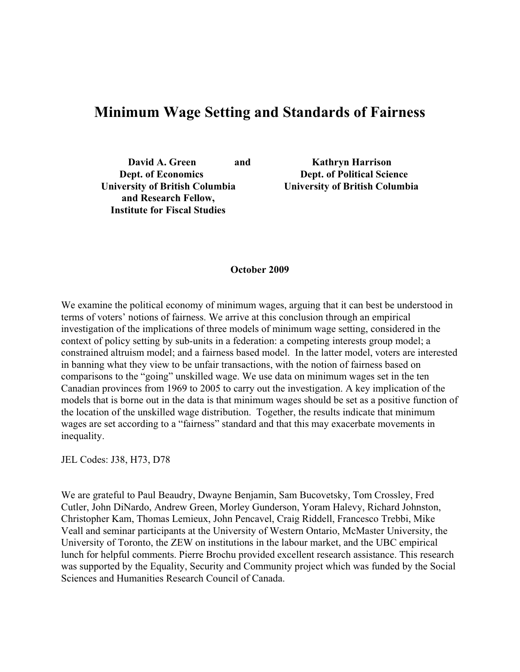# **Minimum Wage Setting and Standards of Fairness**

**David A. Green and Kathryn Harrison University of British Columbia University of British Columbia and Research Fellow, Institute for Fiscal Studies** 

**Dept. of Economics Dept. of Political Science**

#### **October 2009**

We examine the political economy of minimum wages, arguing that it can best be understood in terms of voters' notions of fairness. We arrive at this conclusion through an empirical investigation of the implications of three models of minimum wage setting, considered in the context of policy setting by sub-units in a federation: a competing interests group model; a constrained altruism model; and a fairness based model. In the latter model, voters are interested in banning what they view to be unfair transactions, with the notion of fairness based on comparisons to the "going" unskilled wage. We use data on minimum wages set in the ten Canadian provinces from 1969 to 2005 to carry out the investigation. A key implication of the models that is borne out in the data is that minimum wages should be set as a positive function of the location of the unskilled wage distribution. Together, the results indicate that minimum wages are set according to a "fairness" standard and that this may exacerbate movements in inequality.

JEL Codes: J38, H73, D78

We are grateful to Paul Beaudry, Dwayne Benjamin, Sam Bucovetsky, Tom Crossley, Fred Cutler, John DiNardo, Andrew Green, Morley Gunderson, Yoram Halevy, Richard Johnston, Christopher Kam, Thomas Lemieux, John Pencavel, Craig Riddell, Francesco Trebbi, Mike Veall and seminar participants at the University of Western Ontario, McMaster University, the University of Toronto, the ZEW on institutions in the labour market, and the UBC empirical lunch for helpful comments. Pierre Brochu provided excellent research assistance. This research was supported by the Equality, Security and Community project which was funded by the Social Sciences and Humanities Research Council of Canada.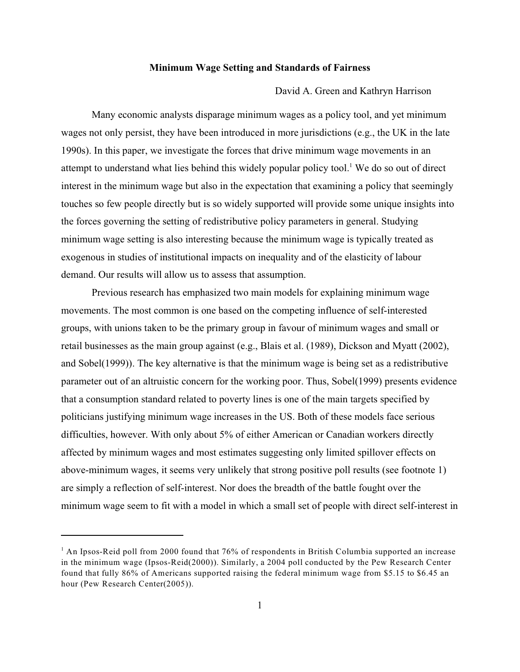#### **Minimum Wage Setting and Standards of Fairness**

David A. Green and Kathryn Harrison

Many economic analysts disparage minimum wages as a policy tool, and yet minimum wages not only persist, they have been introduced in more jurisdictions (e.g., the UK in the late 1990s). In this paper, we investigate the forces that drive minimum wage movements in an attempt to understand what lies behind this widely popular policy tool.<sup>1</sup> We do so out of direct interest in the minimum wage but also in the expectation that examining a policy that seemingly touches so few people directly but is so widely supported will provide some unique insights into the forces governing the setting of redistributive policy parameters in general. Studying minimum wage setting is also interesting because the minimum wage is typically treated as exogenous in studies of institutional impacts on inequality and of the elasticity of labour demand. Our results will allow us to assess that assumption.

Previous research has emphasized two main models for explaining minimum wage movements. The most common is one based on the competing influence of self-interested groups, with unions taken to be the primary group in favour of minimum wages and small or retail businesses as the main group against (e.g., Blais et al. (1989), Dickson and Myatt (2002), and Sobel(1999)). The key alternative is that the minimum wage is being set as a redistributive parameter out of an altruistic concern for the working poor. Thus, Sobel(1999) presents evidence that a consumption standard related to poverty lines is one of the main targets specified by politicians justifying minimum wage increases in the US. Both of these models face serious difficulties, however. With only about 5% of either American or Canadian workers directly affected by minimum wages and most estimates suggesting only limited spillover effects on above-minimum wages, it seems very unlikely that strong positive poll results (see footnote 1) are simply a reflection of self-interest. Nor does the breadth of the battle fought over the minimum wage seem to fit with a model in which a small set of people with direct self-interest in

<sup>&</sup>lt;sup>1</sup> An Ipsos-Reid poll from 2000 found that 76% of respondents in British Columbia supported an increase in the minimum wage (Ipsos-Reid(2000)). Similarly, a 2004 poll conducted by the Pew Research Center found that fully 86% of Americans supported raising the federal minimum wage from \$5.15 to \$6.45 an hour (Pew Research Center(2005)).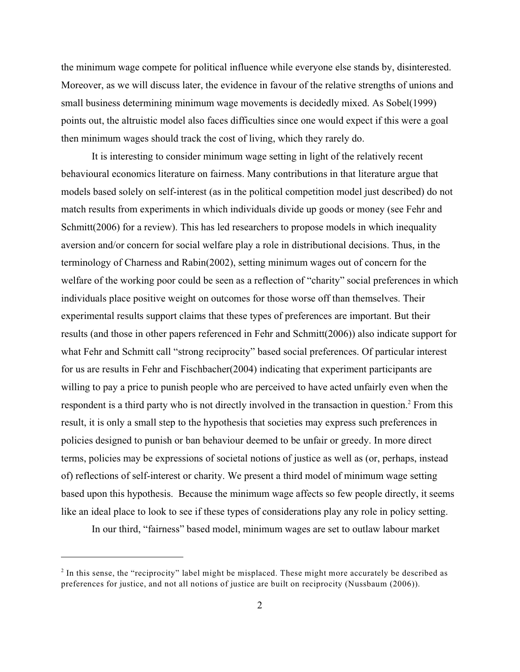the minimum wage compete for political influence while everyone else stands by, disinterested. Moreover, as we will discuss later, the evidence in favour of the relative strengths of unions and small business determining minimum wage movements is decidedly mixed. As Sobel(1999) points out, the altruistic model also faces difficulties since one would expect if this were a goal then minimum wages should track the cost of living, which they rarely do.

It is interesting to consider minimum wage setting in light of the relatively recent behavioural economics literature on fairness. Many contributions in that literature argue that models based solely on self-interest (as in the political competition model just described) do not match results from experiments in which individuals divide up goods or money (see Fehr and Schmitt(2006) for a review). This has led researchers to propose models in which inequality aversion and/or concern for social welfare play a role in distributional decisions. Thus, in the terminology of Charness and Rabin(2002), setting minimum wages out of concern for the welfare of the working poor could be seen as a reflection of "charity" social preferences in which individuals place positive weight on outcomes for those worse off than themselves. Their experimental results support claims that these types of preferences are important. But their results (and those in other papers referenced in Fehr and Schmitt(2006)) also indicate support for what Fehr and Schmitt call "strong reciprocity" based social preferences. Of particular interest for us are results in Fehr and Fischbacher(2004) indicating that experiment participants are willing to pay a price to punish people who are perceived to have acted unfairly even when the respondent is a third party who is not directly involved in the transaction in question.<sup>2</sup> From this result, it is only a small step to the hypothesis that societies may express such preferences in policies designed to punish or ban behaviour deemed to be unfair or greedy. In more direct terms, policies may be expressions of societal notions of justice as well as (or, perhaps, instead of) reflections of self-interest or charity. We present a third model of minimum wage setting based upon this hypothesis. Because the minimum wage affects so few people directly, it seems like an ideal place to look to see if these types of considerations play any role in policy setting.

In our third, "fairness" based model, minimum wages are set to outlaw labour market

 $\frac{1}{2}$  In this sense, the "reciprocity" label might be misplaced. These might more accurately be described as preferences for justice, and not all notions of justice are built on reciprocity (Nussbaum (2006)).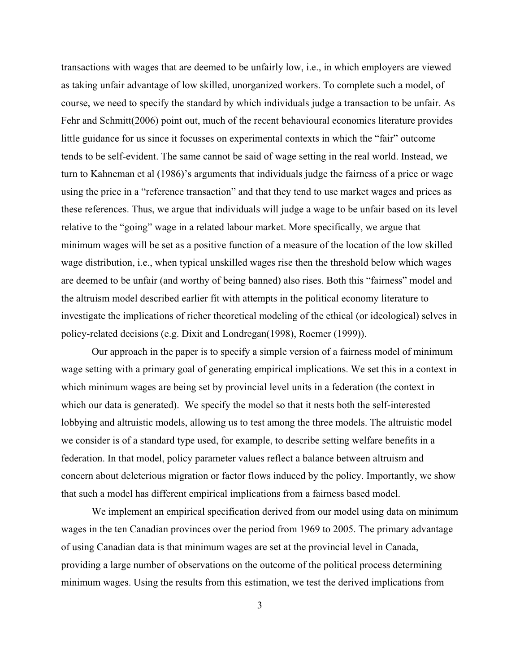transactions with wages that are deemed to be unfairly low, i.e., in which employers are viewed as taking unfair advantage of low skilled, unorganized workers. To complete such a model, of course, we need to specify the standard by which individuals judge a transaction to be unfair. As Fehr and Schmitt(2006) point out, much of the recent behavioural economics literature provides little guidance for us since it focusses on experimental contexts in which the "fair" outcome tends to be self-evident. The same cannot be said of wage setting in the real world. Instead, we turn to Kahneman et al (1986)'s arguments that individuals judge the fairness of a price or wage using the price in a "reference transaction" and that they tend to use market wages and prices as these references. Thus, we argue that individuals will judge a wage to be unfair based on its level relative to the "going" wage in a related labour market. More specifically, we argue that minimum wages will be set as a positive function of a measure of the location of the low skilled wage distribution, i.e., when typical unskilled wages rise then the threshold below which wages are deemed to be unfair (and worthy of being banned) also rises. Both this "fairness" model and the altruism model described earlier fit with attempts in the political economy literature to investigate the implications of richer theoretical modeling of the ethical (or ideological) selves in policy-related decisions (e.g. Dixit and Londregan(1998), Roemer (1999)).

Our approach in the paper is to specify a simple version of a fairness model of minimum wage setting with a primary goal of generating empirical implications. We set this in a context in which minimum wages are being set by provincial level units in a federation (the context in which our data is generated). We specify the model so that it nests both the self-interested lobbying and altruistic models, allowing us to test among the three models. The altruistic model we consider is of a standard type used, for example, to describe setting welfare benefits in a federation. In that model, policy parameter values reflect a balance between altruism and concern about deleterious migration or factor flows induced by the policy. Importantly, we show that such a model has different empirical implications from a fairness based model.

We implement an empirical specification derived from our model using data on minimum wages in the ten Canadian provinces over the period from 1969 to 2005. The primary advantage of using Canadian data is that minimum wages are set at the provincial level in Canada, providing a large number of observations on the outcome of the political process determining minimum wages. Using the results from this estimation, we test the derived implications from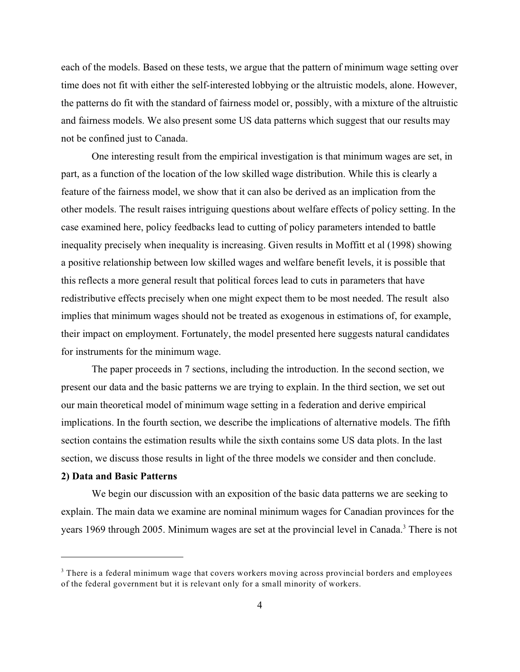each of the models. Based on these tests, we argue that the pattern of minimum wage setting over time does not fit with either the self-interested lobbying or the altruistic models, alone. However, the patterns do fit with the standard of fairness model or, possibly, with a mixture of the altruistic and fairness models. We also present some US data patterns which suggest that our results may not be confined just to Canada.

One interesting result from the empirical investigation is that minimum wages are set, in part, as a function of the location of the low skilled wage distribution. While this is clearly a feature of the fairness model, we show that it can also be derived as an implication from the other models. The result raises intriguing questions about welfare effects of policy setting. In the case examined here, policy feedbacks lead to cutting of policy parameters intended to battle inequality precisely when inequality is increasing. Given results in Moffitt et al (1998) showing a positive relationship between low skilled wages and welfare benefit levels, it is possible that this reflects a more general result that political forces lead to cuts in parameters that have redistributive effects precisely when one might expect them to be most needed. The result also implies that minimum wages should not be treated as exogenous in estimations of, for example, their impact on employment. Fortunately, the model presented here suggests natural candidates for instruments for the minimum wage.

The paper proceeds in 7 sections, including the introduction. In the second section, we present our data and the basic patterns we are trying to explain. In the third section, we set out our main theoretical model of minimum wage setting in a federation and derive empirical implications. In the fourth section, we describe the implications of alternative models. The fifth section contains the estimation results while the sixth contains some US data plots. In the last section, we discuss those results in light of the three models we consider and then conclude.

# **2) Data and Basic Patterns**

We begin our discussion with an exposition of the basic data patterns we are seeking to explain. The main data we examine are nominal minimum wages for Canadian provinces for the years 1969 through 2005. Minimum wages are set at the provincial level in Canada.<sup>3</sup> There is not

<sup>&</sup>lt;sup>3</sup> There is a federal minimum wage that covers workers moving across provincial borders and employees of the federal government but it is relevant only for a small minority of workers.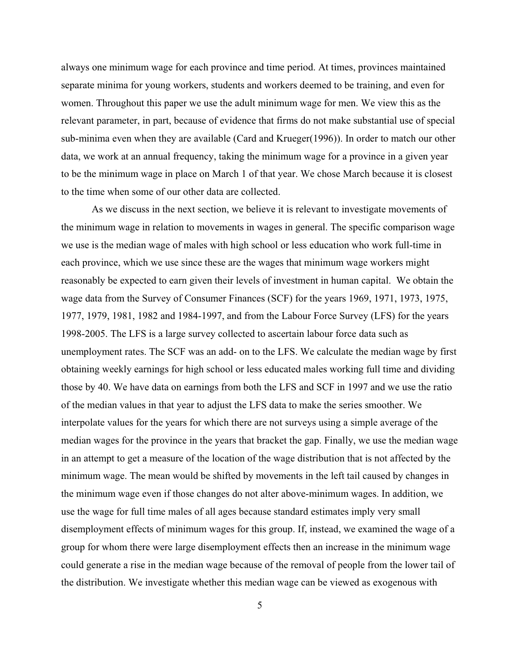always one minimum wage for each province and time period. At times, provinces maintained separate minima for young workers, students and workers deemed to be training, and even for women. Throughout this paper we use the adult minimum wage for men. We view this as the relevant parameter, in part, because of evidence that firms do not make substantial use of special sub-minima even when they are available (Card and Krueger(1996)). In order to match our other data, we work at an annual frequency, taking the minimum wage for a province in a given year to be the minimum wage in place on March 1 of that year. We chose March because it is closest to the time when some of our other data are collected.

As we discuss in the next section, we believe it is relevant to investigate movements of the minimum wage in relation to movements in wages in general. The specific comparison wage we use is the median wage of males with high school or less education who work full-time in each province, which we use since these are the wages that minimum wage workers might reasonably be expected to earn given their levels of investment in human capital. We obtain the wage data from the Survey of Consumer Finances (SCF) for the years 1969, 1971, 1973, 1975, 1977, 1979, 1981, 1982 and 1984-1997, and from the Labour Force Survey (LFS) for the years 1998-2005. The LFS is a large survey collected to ascertain labour force data such as unemployment rates. The SCF was an add- on to the LFS. We calculate the median wage by first obtaining weekly earnings for high school or less educated males working full time and dividing those by 40. We have data on earnings from both the LFS and SCF in 1997 and we use the ratio of the median values in that year to adjust the LFS data to make the series smoother. We interpolate values for the years for which there are not surveys using a simple average of the median wages for the province in the years that bracket the gap. Finally, we use the median wage in an attempt to get a measure of the location of the wage distribution that is not affected by the minimum wage. The mean would be shifted by movements in the left tail caused by changes in the minimum wage even if those changes do not alter above-minimum wages. In addition, we use the wage for full time males of all ages because standard estimates imply very small disemployment effects of minimum wages for this group. If, instead, we examined the wage of a group for whom there were large disemployment effects then an increase in the minimum wage could generate a rise in the median wage because of the removal of people from the lower tail of the distribution. We investigate whether this median wage can be viewed as exogenous with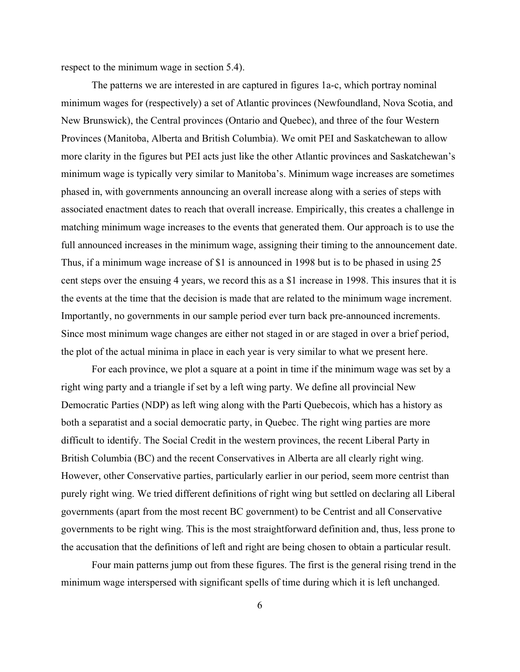respect to the minimum wage in section 5.4).

The patterns we are interested in are captured in figures 1a-c, which portray nominal minimum wages for (respectively) a set of Atlantic provinces (Newfoundland, Nova Scotia, and New Brunswick), the Central provinces (Ontario and Quebec), and three of the four Western Provinces (Manitoba, Alberta and British Columbia). We omit PEI and Saskatchewan to allow more clarity in the figures but PEI acts just like the other Atlantic provinces and Saskatchewan's minimum wage is typically very similar to Manitoba's. Minimum wage increases are sometimes phased in, with governments announcing an overall increase along with a series of steps with associated enactment dates to reach that overall increase. Empirically, this creates a challenge in matching minimum wage increases to the events that generated them. Our approach is to use the full announced increases in the minimum wage, assigning their timing to the announcement date. Thus, if a minimum wage increase of \$1 is announced in 1998 but is to be phased in using 25 cent steps over the ensuing 4 years, we record this as a \$1 increase in 1998. This insures that it is the events at the time that the decision is made that are related to the minimum wage increment. Importantly, no governments in our sample period ever turn back pre-announced increments. Since most minimum wage changes are either not staged in or are staged in over a brief period, the plot of the actual minima in place in each year is very similar to what we present here.

For each province, we plot a square at a point in time if the minimum wage was set by a right wing party and a triangle if set by a left wing party. We define all provincial New Democratic Parties (NDP) as left wing along with the Parti Quebecois, which has a history as both a separatist and a social democratic party, in Quebec. The right wing parties are more difficult to identify. The Social Credit in the western provinces, the recent Liberal Party in British Columbia (BC) and the recent Conservatives in Alberta are all clearly right wing. However, other Conservative parties, particularly earlier in our period, seem more centrist than purely right wing. We tried different definitions of right wing but settled on declaring all Liberal governments (apart from the most recent BC government) to be Centrist and all Conservative governments to be right wing. This is the most straightforward definition and, thus, less prone to the accusation that the definitions of left and right are being chosen to obtain a particular result.

Four main patterns jump out from these figures. The first is the general rising trend in the minimum wage interspersed with significant spells of time during which it is left unchanged.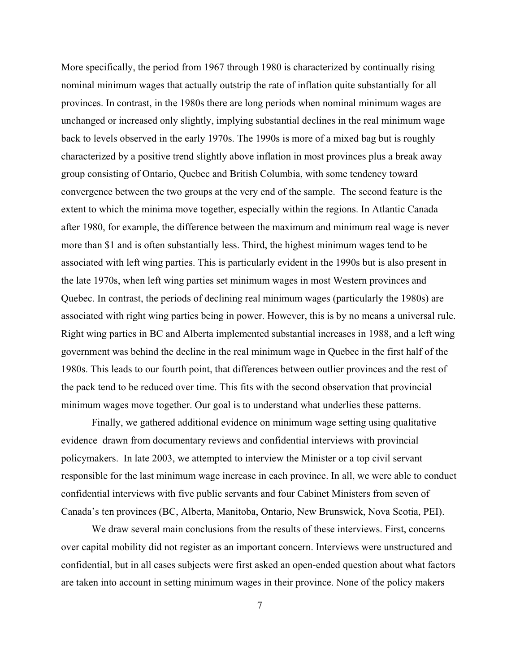More specifically, the period from 1967 through 1980 is characterized by continually rising nominal minimum wages that actually outstrip the rate of inflation quite substantially for all provinces. In contrast, in the 1980s there are long periods when nominal minimum wages are unchanged or increased only slightly, implying substantial declines in the real minimum wage back to levels observed in the early 1970s. The 1990s is more of a mixed bag but is roughly characterized by a positive trend slightly above inflation in most provinces plus a break away group consisting of Ontario, Quebec and British Columbia, with some tendency toward convergence between the two groups at the very end of the sample. The second feature is the extent to which the minima move together, especially within the regions. In Atlantic Canada after 1980, for example, the difference between the maximum and minimum real wage is never more than \$1 and is often substantially less. Third, the highest minimum wages tend to be associated with left wing parties. This is particularly evident in the 1990s but is also present in the late 1970s, when left wing parties set minimum wages in most Western provinces and Quebec. In contrast, the periods of declining real minimum wages (particularly the 1980s) are associated with right wing parties being in power. However, this is by no means a universal rule. Right wing parties in BC and Alberta implemented substantial increases in 1988, and a left wing government was behind the decline in the real minimum wage in Quebec in the first half of the 1980s. This leads to our fourth point, that differences between outlier provinces and the rest of the pack tend to be reduced over time. This fits with the second observation that provincial minimum wages move together. Our goal is to understand what underlies these patterns.

Finally, we gathered additional evidence on minimum wage setting using qualitative evidence drawn from documentary reviews and confidential interviews with provincial policymakers. In late 2003, we attempted to interview the Minister or a top civil servant responsible for the last minimum wage increase in each province. In all, we were able to conduct confidential interviews with five public servants and four Cabinet Ministers from seven of Canada's ten provinces (BC, Alberta, Manitoba, Ontario, New Brunswick, Nova Scotia, PEI).

We draw several main conclusions from the results of these interviews. First, concerns over capital mobility did not register as an important concern. Interviews were unstructured and confidential, but in all cases subjects were first asked an open-ended question about what factors are taken into account in setting minimum wages in their province. None of the policy makers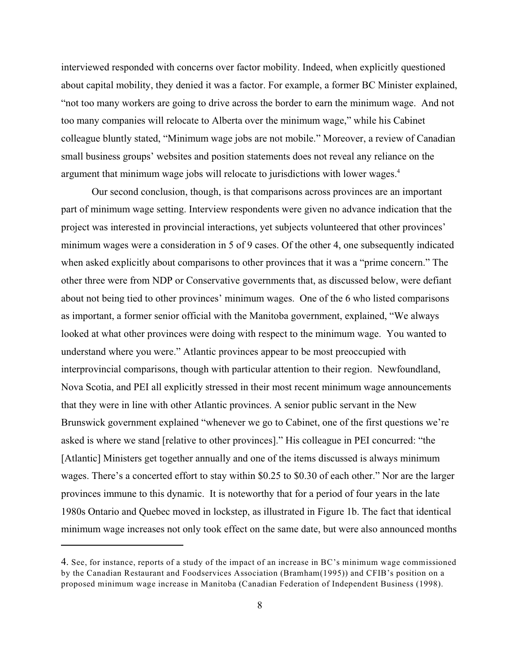interviewed responded with concerns over factor mobility. Indeed, when explicitly questioned about capital mobility, they denied it was a factor. For example, a former BC Minister explained, "not too many workers are going to drive across the border to earn the minimum wage. And not too many companies will relocate to Alberta over the minimum wage," while his Cabinet colleague bluntly stated, "Minimum wage jobs are not mobile." Moreover, a review of Canadian small business groups' websites and position statements does not reveal any reliance on the argument that minimum wage jobs will relocate to jurisdictions with lower wages.<sup>4</sup>

Our second conclusion, though, is that comparisons across provinces are an important part of minimum wage setting. Interview respondents were given no advance indication that the project was interested in provincial interactions, yet subjects volunteered that other provinces' minimum wages were a consideration in 5 of 9 cases. Of the other 4, one subsequently indicated when asked explicitly about comparisons to other provinces that it was a "prime concern." The other three were from NDP or Conservative governments that, as discussed below, were defiant about not being tied to other provinces' minimum wages. One of the 6 who listed comparisons as important, a former senior official with the Manitoba government, explained, "We always looked at what other provinces were doing with respect to the minimum wage. You wanted to understand where you were." Atlantic provinces appear to be most preoccupied with interprovincial comparisons, though with particular attention to their region. Newfoundland, Nova Scotia, and PEI all explicitly stressed in their most recent minimum wage announcements that they were in line with other Atlantic provinces. A senior public servant in the New Brunswick government explained "whenever we go to Cabinet, one of the first questions we're asked is where we stand [relative to other provinces]." His colleague in PEI concurred: "the [Atlantic] Ministers get together annually and one of the items discussed is always minimum wages. There's a concerted effort to stay within \$0.25 to \$0.30 of each other." Nor are the larger provinces immune to this dynamic. It is noteworthy that for a period of four years in the late 1980s Ontario and Quebec moved in lockstep, as illustrated in Figure 1b. The fact that identical minimum wage increases not only took effect on the same date, but were also announced months

<sup>4.</sup> See, for instance, reports of a study of the impact of an increase in BC's minimum wage commissioned by the Canadian Restaurant and Foodservices Association (Bramham(1995)) and CFIB's position on a proposed minimum wage increase in Manitoba (Canadian Federation of Independent Business (1998).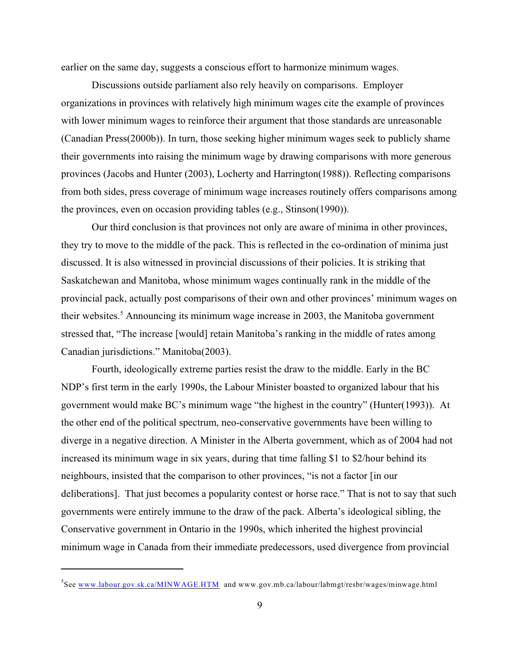earlier on the same day, suggests a conscious effort to harmonize minimum wages.

Discussions outside parliament also rely heavily on comparisons. Employer organizations in provinces with relatively high minimum wages cite the example of provinces with lower minimum wages to reinforce their argument that those standards are unreasonable (Canadian Press(2000b)). In turn, those seeking higher minimum wages seek to publicly shame their governments into raising the minimum wage by drawing comparisons with more generous provinces (Jacobs and Hunter (2003), Locherty and Harrington(1988)). Reflecting comparisons from both sides, press coverage of minimum wage increases routinely offers comparisons among the provinces, even on occasion providing tables (e.g., Stinson(1990)).

Our third conclusion is that provinces not only are aware of minima in other provinces, they try to move to the middle of the pack. This is reflected in the co-ordination of minima just discussed. It is also witnessed in provincial discussions of their policies. It is striking that Saskatchewan and Manitoba, whose minimum wages continually rank in the middle of the provincial pack, actually post comparisons of their own and other provinces' minimum wages on their websites.<sup>5</sup> Announcing its minimum wage increase in 2003, the Manitoba government stressed that, "The increase [would] retain Manitoba's ranking in the middle of rates among Canadian jurisdictions." Manitoba(2003).

Fourth, ideologically extreme parties resist the draw to the middle. Early in the BC NDP's first term in the early 1990s, the Labour Minister boasted to organized labour that his government would make BC's minimum wage "the highest in the country" (Hunter(1993)). At the other end of the political spectrum, neo-conservative governments have been willing to diverge in a negative direction. A Minister in the Alberta government, which as of 2004 had not increased its minimum wage in six years, during that time falling \$1 to \$2/hour behind its neighbours, insisted that the comparison to other provinces, "is not a factor [in our deliberations]. That just becomes a popularity contest or horse race." That is not to say that such governments were entirely immune to the draw of the pack. Alberta's ideological sibling, the Conservative government in Ontario in the 1990s, which inherited the highest provincial minimum wage in Canada from their immediate predecessors, used divergence from provincial

 ${}^{5}$ See [www.labour.gov.sk.ca/MINWAGE.HTM](http://www.labour.gov.sk.ca/MINWAGE.HTM) and www.gov.mb.ca/labour/labmgt/resbr/wages/minwage.html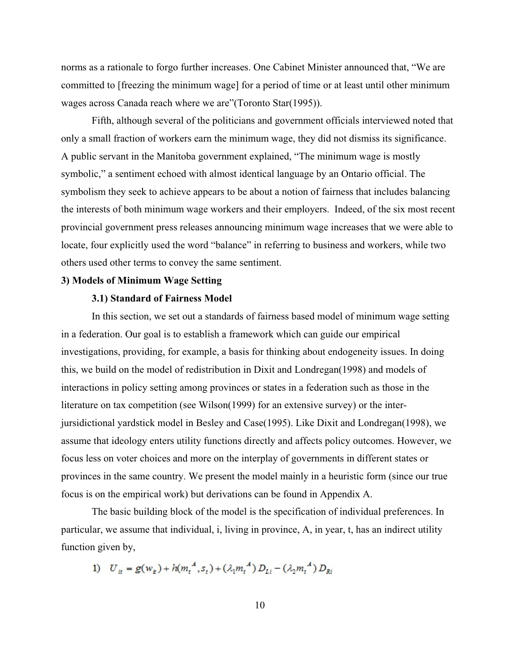norms as a rationale to forgo further increases. One Cabinet Minister announced that, "We are committed to [freezing the minimum wage] for a period of time or at least until other minimum wages across Canada reach where we are"(Toronto Star(1995)).

Fifth, although several of the politicians and government officials interviewed noted that only a small fraction of workers earn the minimum wage, they did not dismiss its significance. A public servant in the Manitoba government explained, "The minimum wage is mostly symbolic," a sentiment echoed with almost identical language by an Ontario official. The symbolism they seek to achieve appears to be about a notion of fairness that includes balancing the interests of both minimum wage workers and their employers. Indeed, of the six most recent provincial government press releases announcing minimum wage increases that we were able to locate, four explicitly used the word "balance" in referring to business and workers, while two others used other terms to convey the same sentiment.

#### **3) Models of Minimum Wage Setting**

### **3.1) Standard of Fairness Model**

In this section, we set out a standards of fairness based model of minimum wage setting in a federation. Our goal is to establish a framework which can guide our empirical investigations, providing, for example, a basis for thinking about endogeneity issues. In doing this, we build on the model of redistribution in Dixit and Londregan(1998) and models of interactions in policy setting among provinces or states in a federation such as those in the literature on tax competition (see Wilson(1999) for an extensive survey) or the interjursidictional yardstick model in Besley and Case(1995). Like Dixit and Londregan(1998), we assume that ideology enters utility functions directly and affects policy outcomes. However, we focus less on voter choices and more on the interplay of governments in different states or provinces in the same country. We present the model mainly in a heuristic form (since our true focus is on the empirical work) but derivations can be found in Appendix A.

The basic building block of the model is the specification of individual preferences. In particular, we assume that individual, i, living in province, A, in year, t, has an indirect utility function given by,

1) 
$$
U_{it} = g(w_{it}) + h(m_t^A, s_t) + (\lambda_1 m_t^A) D_{ti} - (\lambda_2 m_t^A) D_{ki}
$$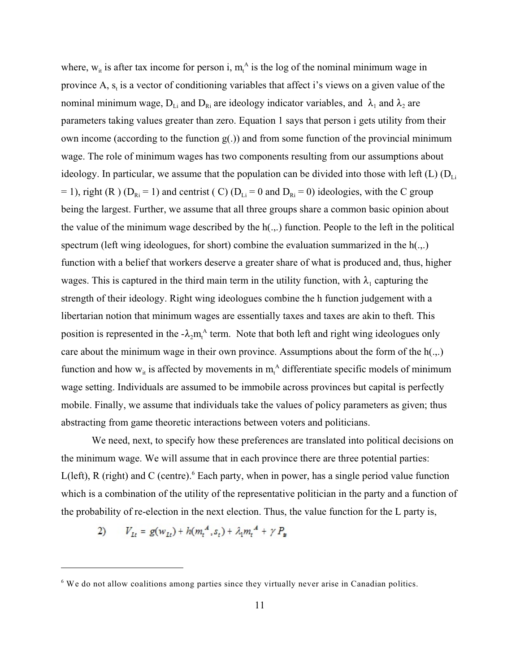where,  $w_{it}$  is after tax income for person i,  $m_t^A$  is the log of the nominal minimum wage in province A,  $s_t$  is a vector of conditioning variables that affect i's views on a given value of the nominal minimum wage,  $D_{Li}$  and  $D_{Ri}$  are ideology indicator variables, and  $\lambda_1$  and  $\lambda_2$  are parameters taking values greater than zero. Equation 1 says that person i gets utility from their own income (according to the function  $g(.)$ ) and from some function of the provincial minimum wage. The role of minimum wages has two components resulting from our assumptions about ideology. In particular, we assume that the population can be divided into those with left (L)  $(D_{Li})$ = 1), right (R) ( $D_{\text{Ri}}$  = 1) and centrist (C) ( $D_{\text{Li}}$  = 0 and  $D_{\text{Ri}}$  = 0) ideologies, with the C group being the largest. Further, we assume that all three groups share a common basic opinion about the value of the minimum wage described by the h(.,.) function. People to the left in the political spectrum (left wing ideologues, for short) combine the evaluation summarized in the h(.,.) function with a belief that workers deserve a greater share of what is produced and, thus, higher wages. This is captured in the third main term in the utility function, with  $\lambda_1$  capturing the strength of their ideology. Right wing ideologues combine the h function judgement with a libertarian notion that minimum wages are essentially taxes and taxes are akin to theft. This position is represented in the  $-\lambda_2 m<sub>t</sub><sup>A</sup>$  term. Note that both left and right wing ideologues only care about the minimum wage in their own province. Assumptions about the form of the h(.,.) function and how  $w_{it}$  is affected by movements in  $m_t^A$  differentiate specific models of minimum wage setting. Individuals are assumed to be immobile across provinces but capital is perfectly mobile. Finally, we assume that individuals take the values of policy parameters as given; thus abstracting from game theoretic interactions between voters and politicians.

We need, next, to specify how these preferences are translated into political decisions on the minimum wage. We will assume that in each province there are three potential parties: L(left), R (right) and C (centre). $6$  Each party, when in power, has a single period value function which is a combination of the utility of the representative politician in the party and a function of the probability of re-election in the next election. Thus, the value function for the L party is,

2) 
$$
V_{Lt} = g(w_{Lt}) + h(m_t^A, s_t) + \lambda_1 m_t^A + \gamma P_{B}
$$

 $6$  We do not allow coalitions among parties since they virtually never arise in Canadian politics.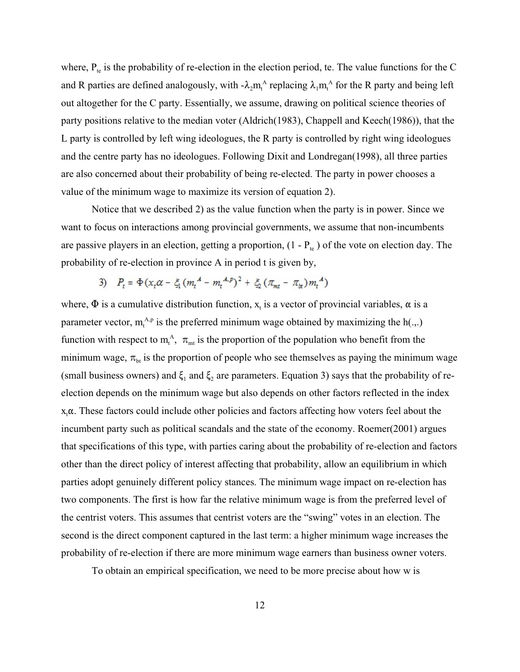where,  $P_{te}$  is the probability of re-election in the election period, te. The value functions for the C and R parties are defined analogously, with  $-\lambda_2 m_f^A$  replacing  $\lambda_1 m_f^A$  for the R party and being left out altogether for the C party. Essentially, we assume, drawing on political science theories of party positions relative to the median voter (Aldrich(1983), Chappell and Keech(1986)), that the L party is controlled by left wing ideologues, the R party is controlled by right wing ideologues and the centre party has no ideologues. Following Dixit and Londregan(1998), all three parties are also concerned about their probability of being re-elected. The party in power chooses a value of the minimum wage to maximize its version of equation 2).

Notice that we described 2) as the value function when the party is in power. Since we want to focus on interactions among provincial governments, we assume that non-incumbents are passive players in an election, getting a proportion,  $(1 - P_{te})$  of the vote on election day. The probability of re-election in province A in period t is given by,

3) 
$$
P_t = \Phi(x_t \alpha - \xi_1 (m_t^A - m_t^{A, p})^2 + \xi_2 (\pi_{mt} - \pi_{bt}) m_t^A)
$$

where,  $\Phi$  is a cumulative distribution function,  $x_t$  is a vector of provincial variables,  $\alpha$  is a parameter vector,  $m_t^{\text{A,p}}$  is the preferred minimum wage obtained by maximizing the h(.,.) function with respect to  $m_t^A$ ,  $\pi_{mt}$  is the proportion of the population who benefit from the minimum wage,  $\pi_{bt}$  is the proportion of people who see themselves as paying the minimum wage (small business owners) and  $\xi_1$  and  $\xi_2$  are parameters. Equation 3) says that the probability of reelection depends on the minimum wage but also depends on other factors reflected in the index  $x, \alpha$ . These factors could include other policies and factors affecting how voters feel about the incumbent party such as political scandals and the state of the economy. Roemer(2001) argues that specifications of this type, with parties caring about the probability of re-election and factors other than the direct policy of interest affecting that probability, allow an equilibrium in which parties adopt genuinely different policy stances. The minimum wage impact on re-election has two components. The first is how far the relative minimum wage is from the preferred level of the centrist voters. This assumes that centrist voters are the "swing" votes in an election. The second is the direct component captured in the last term: a higher minimum wage increases the probability of re-election if there are more minimum wage earners than business owner voters.

To obtain an empirical specification, we need to be more precise about how w is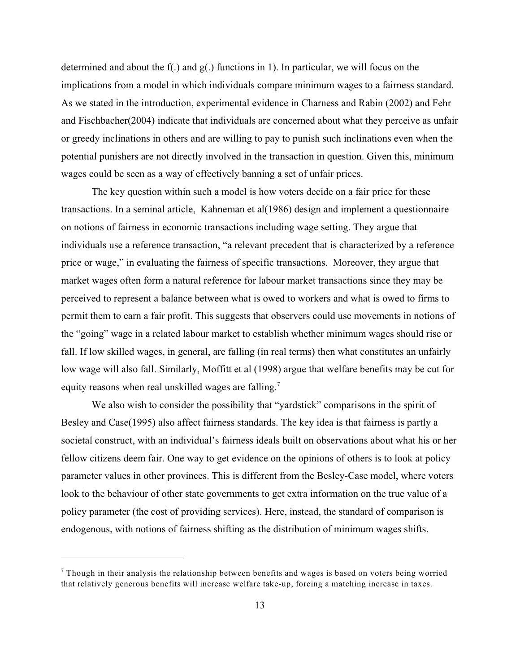determined and about the f(.) and g(.) functions in 1). In particular, we will focus on the implications from a model in which individuals compare minimum wages to a fairness standard. As we stated in the introduction, experimental evidence in Charness and Rabin (2002) and Fehr and Fischbacher(2004) indicate that individuals are concerned about what they perceive as unfair or greedy inclinations in others and are willing to pay to punish such inclinations even when the potential punishers are not directly involved in the transaction in question. Given this, minimum wages could be seen as a way of effectively banning a set of unfair prices.

The key question within such a model is how voters decide on a fair price for these transactions. In a seminal article, Kahneman et al(1986) design and implement a questionnaire on notions of fairness in economic transactions including wage setting. They argue that individuals use a reference transaction, "a relevant precedent that is characterized by a reference price or wage," in evaluating the fairness of specific transactions. Moreover, they argue that market wages often form a natural reference for labour market transactions since they may be perceived to represent a balance between what is owed to workers and what is owed to firms to permit them to earn a fair profit. This suggests that observers could use movements in notions of the "going" wage in a related labour market to establish whether minimum wages should rise or fall. If low skilled wages, in general, are falling (in real terms) then what constitutes an unfairly low wage will also fall. Similarly, Moffitt et al (1998) argue that welfare benefits may be cut for equity reasons when real unskilled wages are falling.<sup>7</sup>

We also wish to consider the possibility that "yardstick" comparisons in the spirit of Besley and Case(1995) also affect fairness standards. The key idea is that fairness is partly a societal construct, with an individual's fairness ideals built on observations about what his or her fellow citizens deem fair. One way to get evidence on the opinions of others is to look at policy parameter values in other provinces. This is different from the Besley-Case model, where voters look to the behaviour of other state governments to get extra information on the true value of a policy parameter (the cost of providing services). Here, instead, the standard of comparison is endogenous, with notions of fairness shifting as the distribution of minimum wages shifts.

Though in their analysis the relationship between benefits and wages is based on voters being worried that relatively generous benefits will increase welfare take-up, forcing a matching increase in taxes.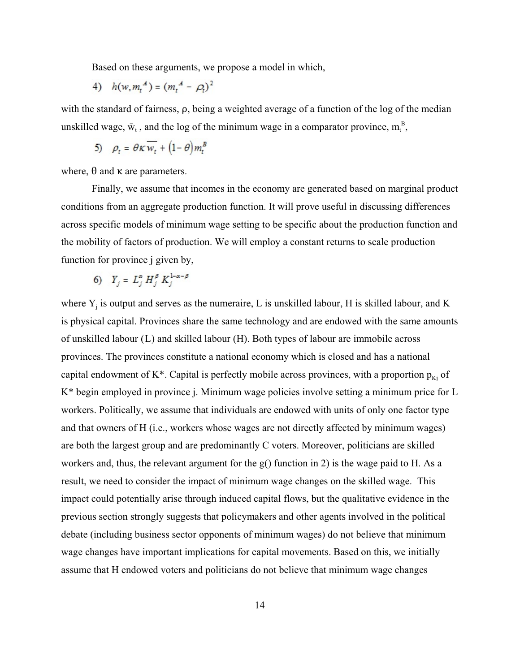Based on these arguments, we propose a model in which,

4) 
$$
h(w, m_t^A) = (m_t^A - \rho_t)^2
$$

with the standard of fairness,  $\rho$ , being a weighted average of a function of the log of the median unskilled wage,  $\bar{w}_t$ , and the log of the minimum wage in a comparator province,  $m_t^B$ ,

$$
5) \quad \rho_t = \theta K \overline{w_t} + \left(1 - \theta\right) m_t^B
$$

where,  $\theta$  and  $\kappa$  are parameters.

Finally, we assume that incomes in the economy are generated based on marginal product conditions from an aggregate production function. It will prove useful in discussing differences across specific models of minimum wage setting to be specific about the production function and the mobility of factors of production. We will employ a constant returns to scale production function for province j given by,

6) 
$$
Y_j = L_j^{\alpha} H_j^{\beta} K_j^{1-\alpha-\beta}
$$

where  $Y_j$  is output and serves as the numeraire, L is unskilled labour, H is skilled labour, and K is physical capital. Provinces share the same technology and are endowed with the same amounts of unskilled labour  $(\overline{L})$  and skilled labour  $(\overline{H})$ . Both types of labour are immobile across provinces. The provinces constitute a national economy which is closed and has a national capital endowment of K<sup>\*</sup>. Capital is perfectly mobile across provinces, with a proportion  $p_{K_i}$  of K\* begin employed in province j. Minimum wage policies involve setting a minimum price for L workers. Politically, we assume that individuals are endowed with units of only one factor type and that owners of H (i.e., workers whose wages are not directly affected by minimum wages) are both the largest group and are predominantly C voters. Moreover, politicians are skilled workers and, thus, the relevant argument for the g() function in 2) is the wage paid to H. As a result, we need to consider the impact of minimum wage changes on the skilled wage. This impact could potentially arise through induced capital flows, but the qualitative evidence in the previous section strongly suggests that policymakers and other agents involved in the political debate (including business sector opponents of minimum wages) do not believe that minimum wage changes have important implications for capital movements. Based on this, we initially assume that H endowed voters and politicians do not believe that minimum wage changes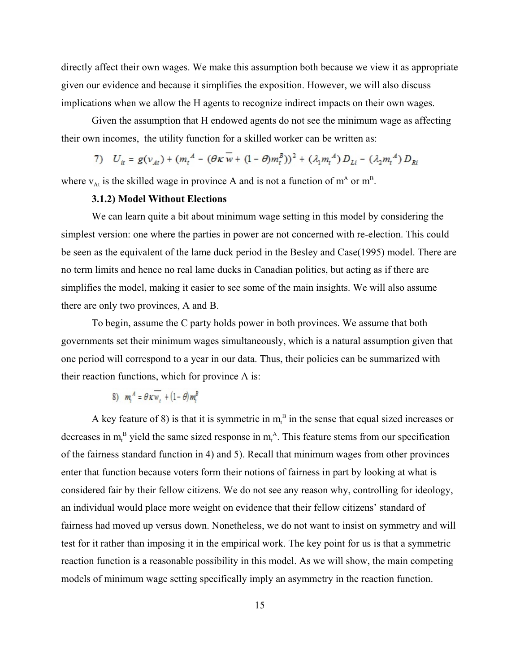directly affect their own wages. We make this assumption both because we view it as appropriate given our evidence and because it simplifies the exposition. However, we will also discuss implications when we allow the H agents to recognize indirect impacts on their own wages.

Given the assumption that H endowed agents do not see the minimum wage as affecting their own incomes, the utility function for a skilled worker can be written as:

7) 
$$
U_{it} = g(v_{At}) + (m_t^A - (\theta K w + (1 - \theta) m_t^B))^2 + (\lambda_1 m_t^A) D_{Li} - (\lambda_2 m_t^A) D_{Ri}
$$

where  $v_{At}$  is the skilled wage in province A and is not a function of  $m<sup>A</sup>$  or  $m<sup>B</sup>$ .

# **3.1.2) Model Without Elections**

We can learn quite a bit about minimum wage setting in this model by considering the simplest version: one where the parties in power are not concerned with re-election. This could be seen as the equivalent of the lame duck period in the Besley and Case(1995) model. There are no term limits and hence no real lame ducks in Canadian politics, but acting as if there are simplifies the model, making it easier to see some of the main insights. We will also assume there are only two provinces, A and B.

To begin, assume the C party holds power in both provinces. We assume that both governments set their minimum wages simultaneously, which is a natural assumption given that one period will correspond to a year in our data. Thus, their policies can be summarized with their reaction functions, which for province A is:

8) 
$$
m_i^A = \theta \kappa w_i + (1 - \theta) m_i^B
$$

A key feature of 8) is that it is symmetric in  $m_t^B$  in the sense that equal sized increases or decreases in  $m<sub>i</sub><sup>B</sup>$  yield the same sized response in  $m<sub>i</sub><sup>A</sup>$ . This feature stems from our specification of the fairness standard function in 4) and 5). Recall that minimum wages from other provinces enter that function because voters form their notions of fairness in part by looking at what is considered fair by their fellow citizens. We do not see any reason why, controlling for ideology, an individual would place more weight on evidence that their fellow citizens' standard of fairness had moved up versus down. Nonetheless, we do not want to insist on symmetry and will test for it rather than imposing it in the empirical work. The key point for us is that a symmetric reaction function is a reasonable possibility in this model. As we will show, the main competing models of minimum wage setting specifically imply an asymmetry in the reaction function.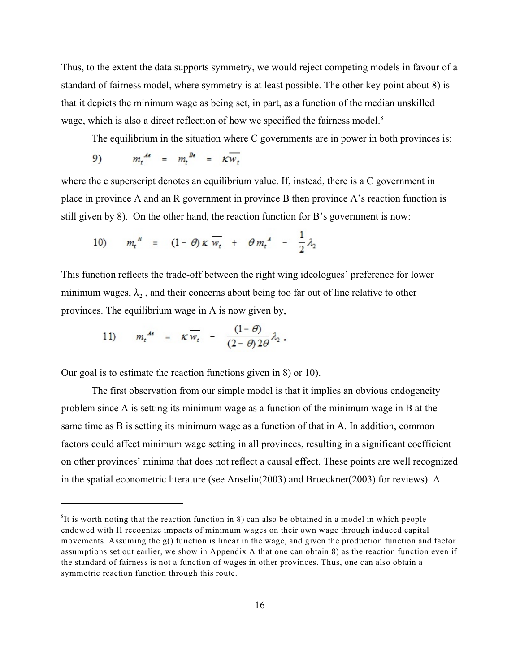Thus, to the extent the data supports symmetry, we would reject competing models in favour of a standard of fairness model, where symmetry is at least possible. The other key point about 8) is that it depicts the minimum wage as being set, in part, as a function of the median unskilled wage, which is also a direct reflection of how we specified the fairness model.<sup>8</sup>

The equilibrium in the situation where C governments are in power in both provinces is:

$$
9) \t m_t^{\text{A6}} = m_t^{\text{B6}} = \kappa \overline{w_t}
$$

where the e superscript denotes an equilibrium value. If, instead, there is a C government in place in province A and an R government in province B then province A's reaction function is still given by 8). On the other hand, the reaction function for B's government is now:

10) 
$$
m_t^B = (1 - \theta) \kappa \overline{w_t} + \theta m_t^A - \frac{1}{2} \lambda_2
$$

This function reflects the trade-off between the right wing ideologues' preference for lower minimum wages,  $\lambda_2$ , and their concerns about being too far out of line relative to other provinces. The equilibrium wage in A is now given by,

11) 
$$
m_t^{\mathcal{A}\epsilon} = \kappa \overline{w_t} - \frac{(1-\theta)}{(2-\theta)2\theta} \lambda_2.
$$

Our goal is to estimate the reaction functions given in 8) or 10).

The first observation from our simple model is that it implies an obvious endogeneity problem since A is setting its minimum wage as a function of the minimum wage in B at the same time as B is setting its minimum wage as a function of that in A. In addition, common factors could affect minimum wage setting in all provinces, resulting in a significant coefficient on other provinces' minima that does not reflect a causal effect. These points are well recognized in the spatial econometric literature (see Anselin(2003) and Brueckner(2003) for reviews). A

 ${}^{8}$ It is worth noting that the reaction function in 8) can also be obtained in a model in which people endowed with H recognize impacts of minimum wages on their own wage through induced capital movements. Assuming the g() function is linear in the wage, and given the production function and factor assumptions set out earlier, we show in Appendix A that one can obtain 8) as the reaction function even if the standard of fairness is not a function of wages in other provinces. Thus, one can also obtain a symmetric reaction function through this route.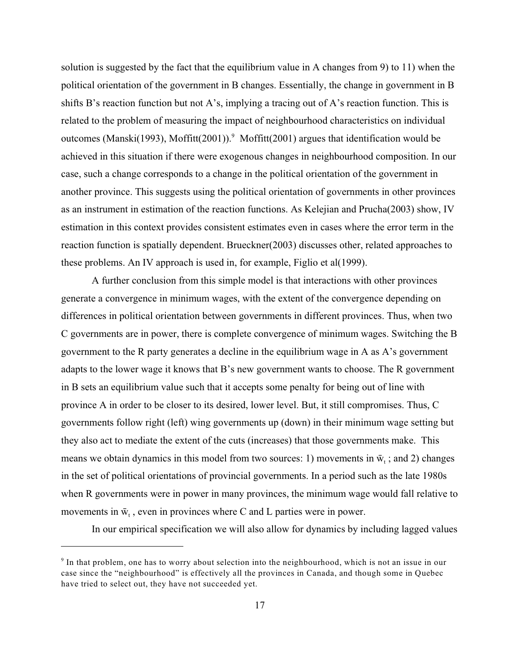solution is suggested by the fact that the equilibrium value in A changes from 9) to 11) when the political orientation of the government in B changes. Essentially, the change in government in B shifts B's reaction function but not A's, implying a tracing out of A's reaction function. This is related to the problem of measuring the impact of neighbourhood characteristics on individual outcomes (Manski(1993), Moffitt(2001)). Moffitt(2001) argues that identification would be achieved in this situation if there were exogenous changes in neighbourhood composition. In our case, such a change corresponds to a change in the political orientation of the government in another province. This suggests using the political orientation of governments in other provinces as an instrument in estimation of the reaction functions. As Kelejian and Prucha(2003) show, IV estimation in this context provides consistent estimates even in cases where the error term in the reaction function is spatially dependent. Brueckner(2003) discusses other, related approaches to these problems. An IV approach is used in, for example, Figlio et al(1999).

A further conclusion from this simple model is that interactions with other provinces generate a convergence in minimum wages, with the extent of the convergence depending on differences in political orientation between governments in different provinces. Thus, when two C governments are in power, there is complete convergence of minimum wages. Switching the B government to the R party generates a decline in the equilibrium wage in A as A's government adapts to the lower wage it knows that B's new government wants to choose. The R government in B sets an equilibrium value such that it accepts some penalty for being out of line with province A in order to be closer to its desired, lower level. But, it still compromises. Thus, C governments follow right (left) wing governments up (down) in their minimum wage setting but they also act to mediate the extent of the cuts (increases) that those governments make. This means we obtain dynamics in this model from two sources: 1) movements in  $\bar{w}_t$ ; and 2) changes in the set of political orientations of provincial governments. In a period such as the late 1980s when R governments were in power in many provinces, the minimum wage would fall relative to movements in  $\bar{w}_t$ , even in provinces where C and L parties were in power.

In our empirical specification we will also allow for dynamics by including lagged values

 $\degree$  In that problem, one has to worry about selection into the neighbourhood, which is not an issue in our case since the "neighbourhood" is effectively all the provinces in Canada, and though some in Quebec have tried to select out, they have not succeeded yet.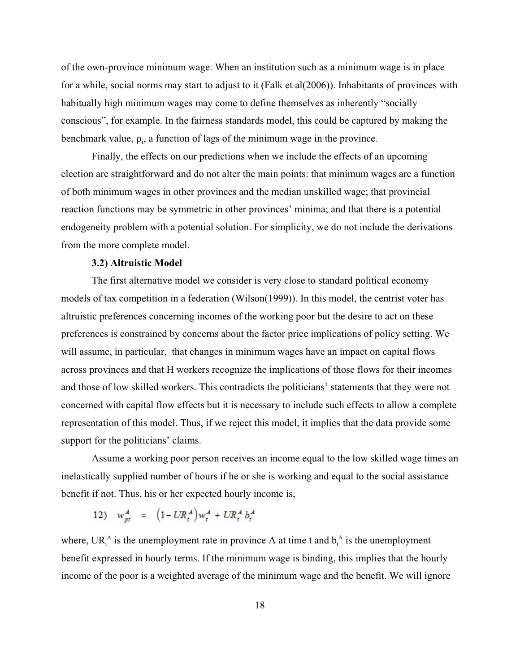of the own-province minimum wage. When an institution such as a minimum wage is in place for a while, social norms may start to adjust to it (Falk et al(2006)). Inhabitants of provinces with habitually high minimum wages may come to define themselves as inherently "socially conscious", for example. In the fairness standards model, this could be captured by making the benchmark value,  $\rho_t$ , a function of lags of the minimum wage in the province.

Finally, the effects on our predictions when we include the effects of an upcoming election are straightforward and do not alter the main points: that minimum wages are a function of both minimum wages in other provinces and the median unskilled wage; that provincial reaction functions may be symmetric in other provinces' minima; and that there is a potential endogeneity problem with a potential solution. For simplicity, we do not include the derivations from the more complete model.

#### **3.2) Altruistic Model**

The first alternative model we consider is very close to standard political economy models of tax competition in a federation (Wilson(1999)). In this model, the centrist voter has altruistic preferences concerning incomes of the working poor but the desire to act on these preferences is constrained by concerns about the factor price implications of policy setting. We will assume, in particular, that changes in minimum wages have an impact on capital flows across provinces and that H workers recognize the implications of those flows for their incomes and those of low skilled workers. This contradicts the politicians' statements that they were not concerned with capital flow effects but it is necessary to include such effects to allow a complete representation of this model. Thus, if we reject this model, it implies that the data provide some support for the politicians' claims.

Assume a working poor person receives an income equal to the low skilled wage times an inelastically supplied number of hours if he or she is working and equal to the social assistance benefit if not. Thus, his or her expected hourly income is,

12) 
$$
w_{pt}^A = (1 - UR_t^A)w_t^A + UR_t^A b_t^A
$$

where,  $UR_t^A$  is the unemployment rate in province A at time t and  $b_t^A$  is the unemployment benefit expressed in hourly terms. If the minimum wage is binding, this implies that the hourly income of the poor is a weighted average of the minimum wage and the benefit. We will ignore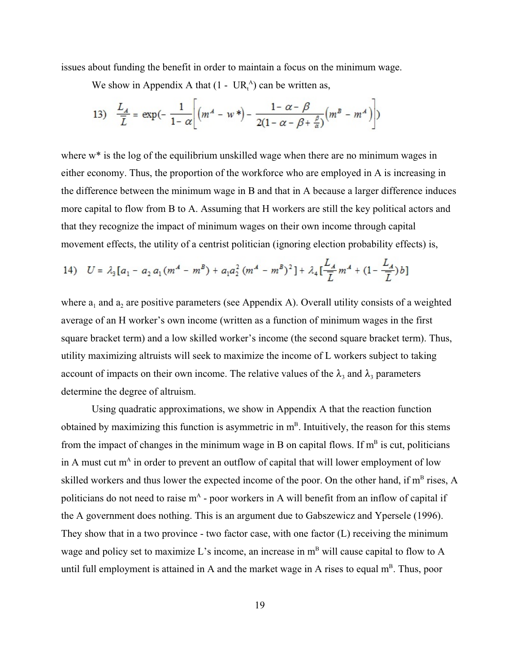issues about funding the benefit in order to maintain a focus on the minimum wage.

We show in Appendix A that  $(1 - UR_t^A)$  can be written as,

13) 
$$
\frac{L_A}{\overline{L}} = \exp\left(-\frac{1}{1-\alpha}\left[(m^A - w^*) - \frac{1-\alpha-\beta}{2(1-\alpha-\beta+\frac{\beta}{\alpha})}(m^B - m^A)\right]\right)
$$

where w<sup>\*</sup> is the log of the equilibrium unskilled wage when there are no minimum wages in either economy. Thus, the proportion of the workforce who are employed in A is increasing in the difference between the minimum wage in B and that in A because a larger difference induces more capital to flow from B to A. Assuming that H workers are still the key political actors and that they recognize the impact of minimum wages on their own income through capital movement effects, the utility of a centrist politician (ignoring election probability effects) is,

14) 
$$
U = \lambda_3 [a_1 - a_2 a_1 (m^4 - m^B) + a_1 a_2^2 (m^4 - m^B)^2] + \lambda_4 \left[ \frac{L_A}{\overline{L}} m^4 + (1 - \frac{L_A}{\overline{L}}) b \right]
$$

where  $a_1$  and  $a_2$  are positive parameters (see Appendix A). Overall utility consists of a weighted average of an H worker's own income (written as a function of minimum wages in the first square bracket term) and a low skilled worker's income (the second square bracket term). Thus, utility maximizing altruists will seek to maximize the income of L workers subject to taking account of impacts on their own income. The relative values of the  $\lambda_3$  and  $\lambda_4$  parameters determine the degree of altruism.

Using quadratic approximations, we show in Appendix A that the reaction function obtained by maximizing this function is asymmetric in  $m<sup>B</sup>$ . Intuitively, the reason for this stems from the impact of changes in the minimum wage in B on capital flows. If  $m<sup>B</sup>$  is cut, politicians in A must cut  $m<sup>A</sup>$  in order to prevent an outflow of capital that will lower employment of low skilled workers and thus lower the expected income of the poor. On the other hand, if  $m<sup>B</sup>$  rises, A politicians do not need to raise  $m<sup>A</sup>$  - poor workers in A will benefit from an inflow of capital if the A government does nothing. This is an argument due to Gabszewicz and Ypersele (1996). They show that in a two province - two factor case, with one factor (L) receiving the minimum wage and policy set to maximize L's income, an increase in  $m<sup>B</sup>$  will cause capital to flow to A until full employment is attained in A and the market wage in A rises to equal  $m<sup>B</sup>$ . Thus, poor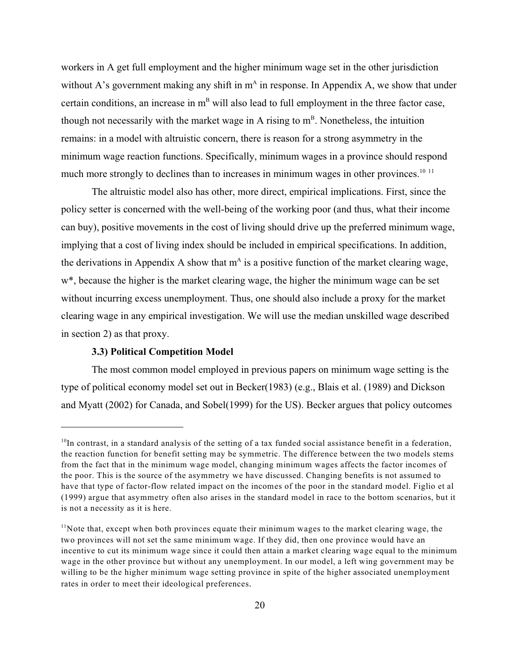workers in A get full employment and the higher minimum wage set in the other jurisdiction without A's government making any shift in  $m<sup>A</sup>$  in response. In Appendix A, we show that under certain conditions, an increase in  $m<sup>B</sup>$  will also lead to full employment in the three factor case, though not necessarily with the market wage in A rising to  $m<sup>B</sup>$ . Nonetheless, the intuition remains: in a model with altruistic concern, there is reason for a strong asymmetry in the minimum wage reaction functions. Specifically, minimum wages in a province should respond much more strongly to declines than to increases in minimum wages in other provinces.<sup>10 11</sup>

The altruistic model also has other, more direct, empirical implications. First, since the policy setter is concerned with the well-being of the working poor (and thus, what their income can buy), positive movements in the cost of living should drive up the preferred minimum wage, implying that a cost of living index should be included in empirical specifications. In addition, the derivations in Appendix A show that  $m<sup>A</sup>$  is a positive function of the market clearing wage, w\*, because the higher is the market clearing wage, the higher the minimum wage can be set without incurring excess unemployment. Thus, one should also include a proxy for the market clearing wage in any empirical investigation. We will use the median unskilled wage described in section 2) as that proxy.

# **3.3) Political Competition Model**

The most common model employed in previous papers on minimum wage setting is the type of political economy model set out in Becker(1983) (e.g., Blais et al. (1989) and Dickson and Myatt (2002) for Canada, and Sobel(1999) for the US). Becker argues that policy outcomes

 $10$ In contrast, in a standard analysis of the setting of a tax funded social assistance benefit in a federation, the reaction function for benefit setting may be symmetric. The difference between the two models stems from the fact that in the minimum wage model, changing minimum wages affects the factor incomes of the poor. This is the source of the asymmetry we have discussed. Changing benefits is not assumed to have that type of factor-flow related impact on the incomes of the poor in the standard model. Figlio et al (1999) argue that asymmetry often also arises in the standard model in race to the bottom scenarios, but it is not a necessity as it is here.

 $11$ Note that, except when both provinces equate their minimum wages to the market clearing wage, the two provinces will not set the same minimum wage. If they did, then one province would have an incentive to cut its minimum wage since it could then attain a market clearing wage equal to the minimum wage in the other province but without any unemployment. In our model, a left wing government may be willing to be the higher minimum wage setting province in spite of the higher associated unemployment rates in order to meet their ideological preferences.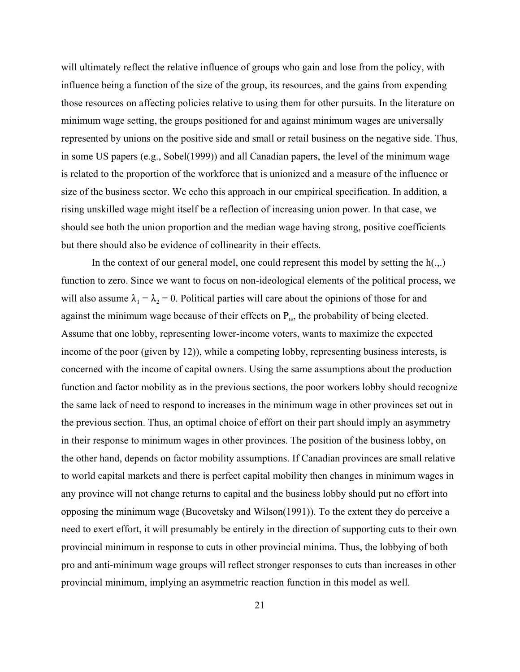will ultimately reflect the relative influence of groups who gain and lose from the policy, with influence being a function of the size of the group, its resources, and the gains from expending those resources on affecting policies relative to using them for other pursuits. In the literature on minimum wage setting, the groups positioned for and against minimum wages are universally represented by unions on the positive side and small or retail business on the negative side. Thus, in some US papers (e.g., Sobel(1999)) and all Canadian papers, the level of the minimum wage is related to the proportion of the workforce that is unionized and a measure of the influence or size of the business sector. We echo this approach in our empirical specification. In addition, a rising unskilled wage might itself be a reflection of increasing union power. In that case, we should see both the union proportion and the median wage having strong, positive coefficients but there should also be evidence of collinearity in their effects.

In the context of our general model, one could represent this model by setting the  $h(.,.)$ function to zero. Since we want to focus on non-ideological elements of the political process, we will also assume  $\lambda_1 = \lambda_2 = 0$ . Political parties will care about the opinions of those for and against the minimum wage because of their effects on  $P_{\text{te}}$ , the probability of being elected. Assume that one lobby, representing lower-income voters, wants to maximize the expected income of the poor (given by 12)), while a competing lobby, representing business interests, is concerned with the income of capital owners. Using the same assumptions about the production function and factor mobility as in the previous sections, the poor workers lobby should recognize the same lack of need to respond to increases in the minimum wage in other provinces set out in the previous section. Thus, an optimal choice of effort on their part should imply an asymmetry in their response to minimum wages in other provinces. The position of the business lobby, on the other hand, depends on factor mobility assumptions. If Canadian provinces are small relative to world capital markets and there is perfect capital mobility then changes in minimum wages in any province will not change returns to capital and the business lobby should put no effort into opposing the minimum wage (Bucovetsky and Wilson(1991)). To the extent they do perceive a need to exert effort, it will presumably be entirely in the direction of supporting cuts to their own provincial minimum in response to cuts in other provincial minima. Thus, the lobbying of both pro and anti-minimum wage groups will reflect stronger responses to cuts than increases in other provincial minimum, implying an asymmetric reaction function in this model as well.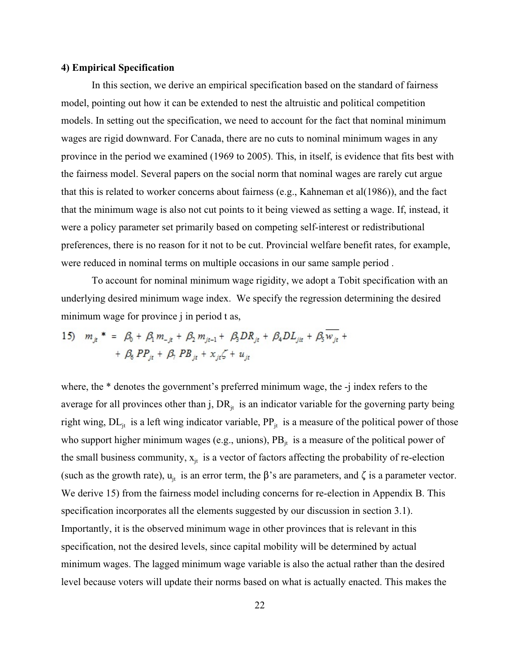#### **4) Empirical Specification**

In this section, we derive an empirical specification based on the standard of fairness model, pointing out how it can be extended to nest the altruistic and political competition models. In setting out the specification, we need to account for the fact that nominal minimum wages are rigid downward. For Canada, there are no cuts to nominal minimum wages in any province in the period we examined (1969 to 2005). This, in itself, is evidence that fits best with the fairness model. Several papers on the social norm that nominal wages are rarely cut argue that this is related to worker concerns about fairness (e.g., Kahneman et al(1986)), and the fact that the minimum wage is also not cut points to it being viewed as setting a wage. If, instead, it were a policy parameter set primarily based on competing self-interest or redistributional preferences, there is no reason for it not to be cut. Provincial welfare benefit rates, for example, were reduced in nominal terms on multiple occasions in our same sample period .

To account for nominal minimum wage rigidity, we adopt a Tobit specification with an underlying desired minimum wage index. We specify the regression determining the desired minimum wage for province *j* in period t as,

15) 
$$
m_{jt}^* = \beta_0 + \beta_1 m_{-jt} + \beta_2 m_{jt-1} + \beta_3 D R_{jt} + \beta_4 D L_{jit} + \beta_5 w_{jt} + \beta_6 P P_{it} + \beta_7 P B_{it} + x_{it} \zeta + u_{it}
$$

where, the  $*$  denotes the government's preferred minimum wage, the -j index refers to the average for all provinces other than j,  $DR<sub>it</sub>$  is an indicator variable for the governing party being right wing,  $DL_{it}$  is a left wing indicator variable,  $PP_{it}$  is a measure of the political power of those who support higher minimum wages (e.g., unions),  $PB<sub>it</sub>$  is a measure of the political power of the small business community,  $x_{it}$  is a vector of factors affecting the probability of re-election (such as the growth rate),  $u_{it}$  is an error term, the  $\beta$ 's are parameters, and  $\zeta$  is a parameter vector. We derive 15) from the fairness model including concerns for re-election in Appendix B. This specification incorporates all the elements suggested by our discussion in section 3.1). Importantly, it is the observed minimum wage in other provinces that is relevant in this specification, not the desired levels, since capital mobility will be determined by actual minimum wages. The lagged minimum wage variable is also the actual rather than the desired level because voters will update their norms based on what is actually enacted. This makes the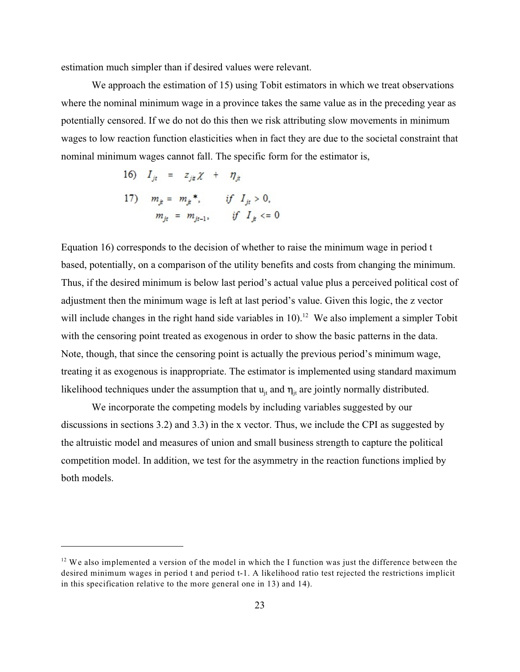estimation much simpler than if desired values were relevant.

We approach the estimation of 15) using Tobit estimators in which we treat observations where the nominal minimum wage in a province takes the same value as in the preceding year as potentially censored. If we do not do this then we risk attributing slow movements in minimum wages to low reaction function elasticities when in fact they are due to the societal constraint that nominal minimum wages cannot fall. The specific form for the estimator is,

16) 
$$
I_{jt} = z_{jt} \chi + \eta_{jt}
$$
  
17)  $m_{jt} = m_{jt} * , \quad \text{if } I_{jt} > 0,$   
 $m_{jt} = m_{jt-1}, \quad \text{if } I_{jt} <= 0$ 

Equation 16) corresponds to the decision of whether to raise the minimum wage in period t based, potentially, on a comparison of the utility benefits and costs from changing the minimum. Thus, if the desired minimum is below last period's actual value plus a perceived political cost of adjustment then the minimum wage is left at last period's value. Given this logic, the z vector will include changes in the right hand side variables in  $10$ ).<sup>12</sup> We also implement a simpler Tobit with the censoring point treated as exogenous in order to show the basic patterns in the data. Note, though, that since the censoring point is actually the previous period's minimum wage, treating it as exogenous is inappropriate. The estimator is implemented using standard maximum likelihood techniques under the assumption that  $u_{it}$  and  $\eta_{it}$  are jointly normally distributed.

We incorporate the competing models by including variables suggested by our discussions in sections 3.2) and 3.3) in the x vector. Thus, we include the CPI as suggested by the altruistic model and measures of union and small business strength to capture the political competition model. In addition, we test for the asymmetry in the reaction functions implied by both models.

 $12$  We also implemented a version of the model in which the I function was just the difference between the desired minimum wages in period t and period t-1. A likelihood ratio test rejected the restrictions implicit in this specification relative to the more general one in 13) and 14).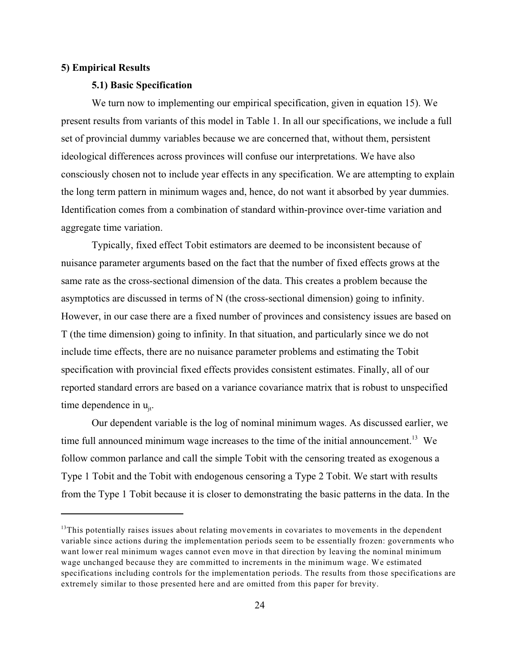#### **5) Empirical Results**

#### **5.1) Basic Specification**

We turn now to implementing our empirical specification, given in equation 15). We present results from variants of this model in Table 1. In all our specifications, we include a full set of provincial dummy variables because we are concerned that, without them, persistent ideological differences across provinces will confuse our interpretations. We have also consciously chosen not to include year effects in any specification. We are attempting to explain the long term pattern in minimum wages and, hence, do not want it absorbed by year dummies. Identification comes from a combination of standard within-province over-time variation and aggregate time variation.

Typically, fixed effect Tobit estimators are deemed to be inconsistent because of nuisance parameter arguments based on the fact that the number of fixed effects grows at the same rate as the cross-sectional dimension of the data. This creates a problem because the asymptotics are discussed in terms of N (the cross-sectional dimension) going to infinity. However, in our case there are a fixed number of provinces and consistency issues are based on T (the time dimension) going to infinity. In that situation, and particularly since we do not include time effects, there are no nuisance parameter problems and estimating the Tobit specification with provincial fixed effects provides consistent estimates. Finally, all of our reported standard errors are based on a variance covariance matrix that is robust to unspecified time dependence in  $u_{i}$ .

Our dependent variable is the log of nominal minimum wages. As discussed earlier, we time full announced minimum wage increases to the time of the initial announcement.<sup>13</sup> We follow common parlance and call the simple Tobit with the censoring treated as exogenous a Type 1 Tobit and the Tobit with endogenous censoring a Type 2 Tobit. We start with results from the Type 1 Tobit because it is closer to demonstrating the basic patterns in the data. In the

 $13$ This potentially raises issues about relating movements in covariates to movements in the dependent variable since actions during the implementation periods seem to be essentially frozen: governments who want lower real minimum wages cannot even move in that direction by leaving the nominal minimum wage unchanged because they are committed to increments in the minimum wage. We estimated specifications including controls for the implementation periods. The results from those specifications are extremely similar to those presented here and are omitted from this paper for brevity.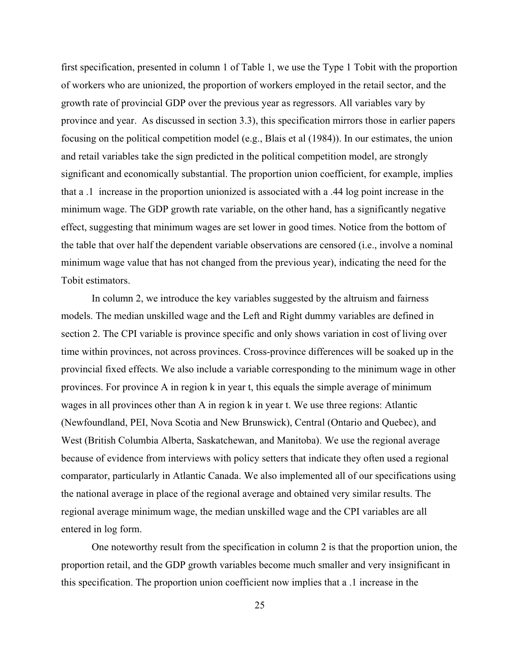first specification, presented in column 1 of Table 1, we use the Type 1 Tobit with the proportion of workers who are unionized, the proportion of workers employed in the retail sector, and the growth rate of provincial GDP over the previous year as regressors. All variables vary by province and year. As discussed in section 3.3), this specification mirrors those in earlier papers focusing on the political competition model (e.g., Blais et al (1984)). In our estimates, the union and retail variables take the sign predicted in the political competition model, are strongly significant and economically substantial. The proportion union coefficient, for example, implies that a .1 increase in the proportion unionized is associated with a .44 log point increase in the minimum wage. The GDP growth rate variable, on the other hand, has a significantly negative effect, suggesting that minimum wages are set lower in good times. Notice from the bottom of the table that over half the dependent variable observations are censored (i.e., involve a nominal minimum wage value that has not changed from the previous year), indicating the need for the Tobit estimators.

In column 2, we introduce the key variables suggested by the altruism and fairness models. The median unskilled wage and the Left and Right dummy variables are defined in section 2. The CPI variable is province specific and only shows variation in cost of living over time within provinces, not across provinces. Cross-province differences will be soaked up in the provincial fixed effects. We also include a variable corresponding to the minimum wage in other provinces. For province A in region k in year t, this equals the simple average of minimum wages in all provinces other than A in region k in year t. We use three regions: Atlantic (Newfoundland, PEI, Nova Scotia and New Brunswick), Central (Ontario and Quebec), and West (British Columbia Alberta, Saskatchewan, and Manitoba). We use the regional average because of evidence from interviews with policy setters that indicate they often used a regional comparator, particularly in Atlantic Canada. We also implemented all of our specifications using the national average in place of the regional average and obtained very similar results. The regional average minimum wage, the median unskilled wage and the CPI variables are all entered in log form.

One noteworthy result from the specification in column 2 is that the proportion union, the proportion retail, and the GDP growth variables become much smaller and very insignificant in this specification. The proportion union coefficient now implies that a .1 increase in the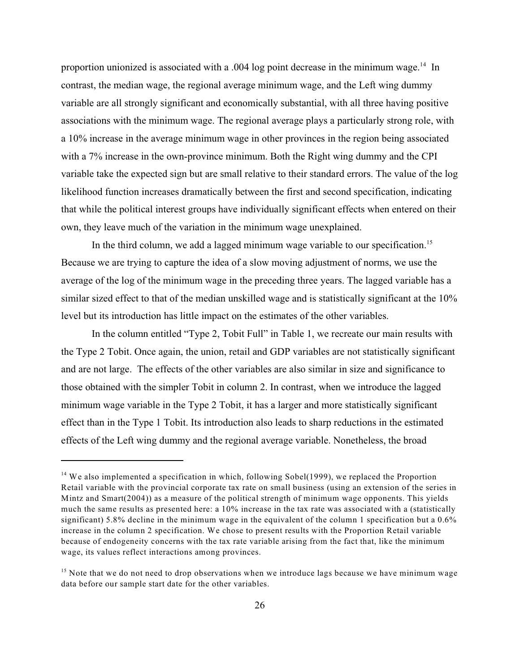proportion unionized is associated with a .004 log point decrease in the minimum wage.<sup>14</sup> In contrast, the median wage, the regional average minimum wage, and the Left wing dummy variable are all strongly significant and economically substantial, with all three having positive associations with the minimum wage. The regional average plays a particularly strong role, with a 10% increase in the average minimum wage in other provinces in the region being associated with a 7% increase in the own-province minimum. Both the Right wing dummy and the CPI variable take the expected sign but are small relative to their standard errors. The value of the log likelihood function increases dramatically between the first and second specification, indicating that while the political interest groups have individually significant effects when entered on their own, they leave much of the variation in the minimum wage unexplained.

In the third column, we add a lagged minimum wage variable to our specification.<sup>15</sup> Because we are trying to capture the idea of a slow moving adjustment of norms, we use the average of the log of the minimum wage in the preceding three years. The lagged variable has a similar sized effect to that of the median unskilled wage and is statistically significant at the 10% level but its introduction has little impact on the estimates of the other variables.

In the column entitled "Type 2, Tobit Full" in Table 1, we recreate our main results with the Type 2 Tobit. Once again, the union, retail and GDP variables are not statistically significant and are not large. The effects of the other variables are also similar in size and significance to those obtained with the simpler Tobit in column 2. In contrast, when we introduce the lagged minimum wage variable in the Type 2 Tobit, it has a larger and more statistically significant effect than in the Type 1 Tobit. Its introduction also leads to sharp reductions in the estimated effects of the Left wing dummy and the regional average variable. Nonetheless, the broad

 $14$  We also implemented a specification in which, following Sobel(1999), we replaced the Proportion Retail variable with the provincial corporate tax rate on small business (using an extension of the series in Mintz and Smart(2004)) as a measure of the political strength of minimum wage opponents. This yields much the same results as presented here: a 10% increase in the tax rate was associated with a (statistically significant) 5.8% decline in the minimum wage in the equivalent of the column 1 specification but a 0.6% increase in the column 2 specification. We chose to present results with the Proportion Retail variable because of endogeneity concerns with the tax rate variable arising from the fact that, like the minimum wage, its values reflect interactions among provinces.

 $15$  Note that we do not need to drop observations when we introduce lags because we have minimum wage data before our sample start date for the other variables.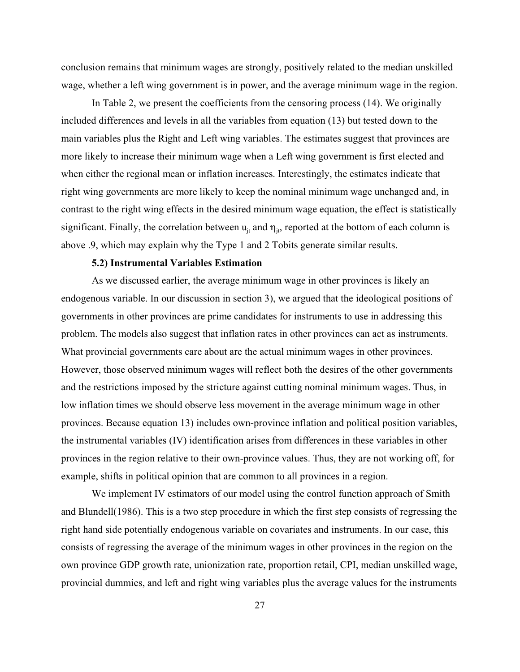conclusion remains that minimum wages are strongly, positively related to the median unskilled wage, whether a left wing government is in power, and the average minimum wage in the region.

In Table 2, we present the coefficients from the censoring process (14). We originally included differences and levels in all the variables from equation (13) but tested down to the main variables plus the Right and Left wing variables. The estimates suggest that provinces are more likely to increase their minimum wage when a Left wing government is first elected and when either the regional mean or inflation increases. Interestingly, the estimates indicate that right wing governments are more likely to keep the nominal minimum wage unchanged and, in contrast to the right wing effects in the desired minimum wage equation, the effect is statistically significant. Finally, the correlation between  $u_{it}$  and  $\eta_{it}$ , reported at the bottom of each column is above .9, which may explain why the Type 1 and 2 Tobits generate similar results.

#### **5.2) Instrumental Variables Estimation**

As we discussed earlier, the average minimum wage in other provinces is likely an endogenous variable. In our discussion in section 3), we argued that the ideological positions of governments in other provinces are prime candidates for instruments to use in addressing this problem. The models also suggest that inflation rates in other provinces can act as instruments. What provincial governments care about are the actual minimum wages in other provinces. However, those observed minimum wages will reflect both the desires of the other governments and the restrictions imposed by the stricture against cutting nominal minimum wages. Thus, in low inflation times we should observe less movement in the average minimum wage in other provinces. Because equation 13) includes own-province inflation and political position variables, the instrumental variables (IV) identification arises from differences in these variables in other provinces in the region relative to their own-province values. Thus, they are not working off, for example, shifts in political opinion that are common to all provinces in a region.

We implement IV estimators of our model using the control function approach of Smith and Blundell(1986). This is a two step procedure in which the first step consists of regressing the right hand side potentially endogenous variable on covariates and instruments. In our case, this consists of regressing the average of the minimum wages in other provinces in the region on the own province GDP growth rate, unionization rate, proportion retail, CPI, median unskilled wage, provincial dummies, and left and right wing variables plus the average values for the instruments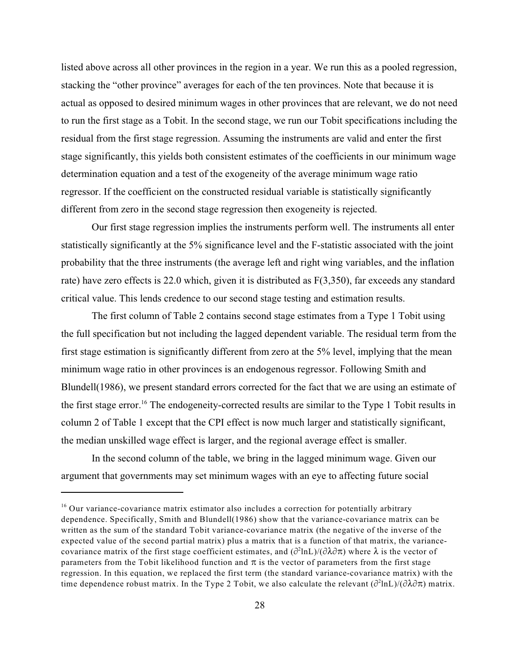listed above across all other provinces in the region in a year. We run this as a pooled regression, stacking the "other province" averages for each of the ten provinces. Note that because it is actual as opposed to desired minimum wages in other provinces that are relevant, we do not need to run the first stage as a Tobit. In the second stage, we run our Tobit specifications including the residual from the first stage regression. Assuming the instruments are valid and enter the first stage significantly, this yields both consistent estimates of the coefficients in our minimum wage determination equation and a test of the exogeneity of the average minimum wage ratio regressor. If the coefficient on the constructed residual variable is statistically significantly different from zero in the second stage regression then exogeneity is rejected.

Our first stage regression implies the instruments perform well. The instruments all enter statistically significantly at the 5% significance level and the F-statistic associated with the joint probability that the three instruments (the average left and right wing variables, and the inflation rate) have zero effects is 22.0 which, given it is distributed as F(3,350), far exceeds any standard critical value. This lends credence to our second stage testing and estimation results.

The first column of Table 2 contains second stage estimates from a Type 1 Tobit using the full specification but not including the lagged dependent variable. The residual term from the first stage estimation is significantly different from zero at the 5% level, implying that the mean minimum wage ratio in other provinces is an endogenous regressor. Following Smith and Blundell(1986), we present standard errors corrected for the fact that we are using an estimate of the first stage error.<sup>16</sup> The endogeneity-corrected results are similar to the Type 1 Tobit results in column 2 of Table 1 except that the CPI effect is now much larger and statistically significant, the median unskilled wage effect is larger, and the regional average effect is smaller.

In the second column of the table, we bring in the lagged minimum wage. Given our argument that governments may set minimum wages with an eye to affecting future social

 $16$  Our variance-covariance matrix estimator also includes a correction for potentially arbitrary dependence. Specifically, Smith and Blundell(1986) show that the variance-covariance matrix can be written as the sum of the standard Tobit variance-covariance matrix (the negative of the inverse of the expected value of the second partial matrix) plus a matrix that is a function of that matrix, the variancecovariance matrix of the first stage coefficient estimates, and  $(\partial^2 \ln L)/(\partial \lambda \partial \pi)$  where  $\lambda$  is the vector of parameters from the Tobit likelihood function and  $\pi$  is the vector of parameters from the first stage regression. In this equation, we replaced the first term (the standard variance-covariance matrix) with the time dependence robust matrix. In the Type 2 Tobit, we also calculate the relevant  $(\partial^2 \ln L)/(\partial \lambda \partial \pi)$  matrix.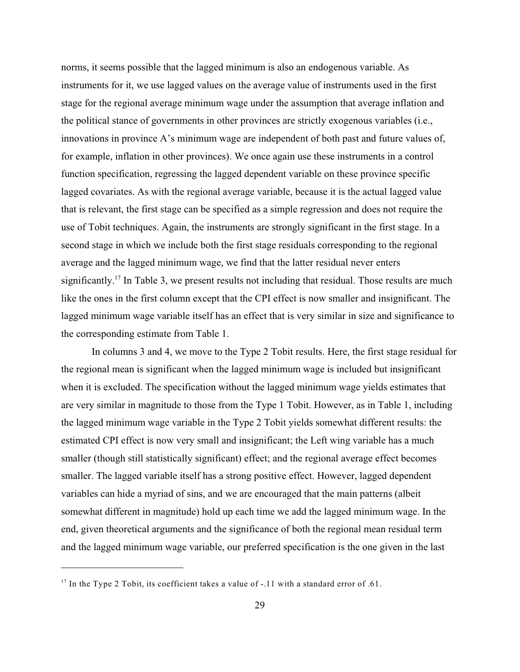norms, it seems possible that the lagged minimum is also an endogenous variable. As instruments for it, we use lagged values on the average value of instruments used in the first stage for the regional average minimum wage under the assumption that average inflation and the political stance of governments in other provinces are strictly exogenous variables (i.e., innovations in province A's minimum wage are independent of both past and future values of, for example, inflation in other provinces). We once again use these instruments in a control function specification, regressing the lagged dependent variable on these province specific lagged covariates. As with the regional average variable, because it is the actual lagged value that is relevant, the first stage can be specified as a simple regression and does not require the use of Tobit techniques. Again, the instruments are strongly significant in the first stage. In a second stage in which we include both the first stage residuals corresponding to the regional average and the lagged minimum wage, we find that the latter residual never enters significantly.<sup>17</sup> In Table 3, we present results not including that residual. Those results are much like the ones in the first column except that the CPI effect is now smaller and insignificant. The lagged minimum wage variable itself has an effect that is very similar in size and significance to the corresponding estimate from Table 1.

In columns 3 and 4, we move to the Type 2 Tobit results. Here, the first stage residual for the regional mean is significant when the lagged minimum wage is included but insignificant when it is excluded. The specification without the lagged minimum wage yields estimates that are very similar in magnitude to those from the Type 1 Tobit. However, as in Table 1, including the lagged minimum wage variable in the Type 2 Tobit yields somewhat different results: the estimated CPI effect is now very small and insignificant; the Left wing variable has a much smaller (though still statistically significant) effect; and the regional average effect becomes smaller. The lagged variable itself has a strong positive effect. However, lagged dependent variables can hide a myriad of sins, and we are encouraged that the main patterns (albeit somewhat different in magnitude) hold up each time we add the lagged minimum wage. In the end, given theoretical arguments and the significance of both the regional mean residual term and the lagged minimum wage variable, our preferred specification is the one given in the last

 $17$  In the Type 2 Tobit, its coefficient takes a value of  $-11$  with a standard error of .61.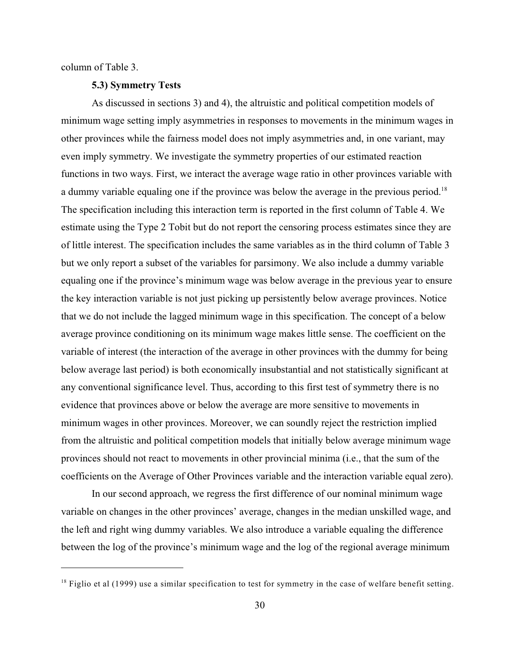column of Table 3.

#### **5.3) Symmetry Tests**

As discussed in sections 3) and 4), the altruistic and political competition models of minimum wage setting imply asymmetries in responses to movements in the minimum wages in other provinces while the fairness model does not imply asymmetries and, in one variant, may even imply symmetry. We investigate the symmetry properties of our estimated reaction functions in two ways. First, we interact the average wage ratio in other provinces variable with a dummy variable equaling one if the province was below the average in the previous period.<sup>18</sup> The specification including this interaction term is reported in the first column of Table 4. We estimate using the Type 2 Tobit but do not report the censoring process estimates since they are of little interest. The specification includes the same variables as in the third column of Table 3 but we only report a subset of the variables for parsimony. We also include a dummy variable equaling one if the province's minimum wage was below average in the previous year to ensure the key interaction variable is not just picking up persistently below average provinces. Notice that we do not include the lagged minimum wage in this specification. The concept of a below average province conditioning on its minimum wage makes little sense. The coefficient on the variable of interest (the interaction of the average in other provinces with the dummy for being below average last period) is both economically insubstantial and not statistically significant at any conventional significance level. Thus, according to this first test of symmetry there is no evidence that provinces above or below the average are more sensitive to movements in minimum wages in other provinces. Moreover, we can soundly reject the restriction implied from the altruistic and political competition models that initially below average minimum wage provinces should not react to movements in other provincial minima (i.e., that the sum of the coefficients on the Average of Other Provinces variable and the interaction variable equal zero).

In our second approach, we regress the first difference of our nominal minimum wage variable on changes in the other provinces' average, changes in the median unskilled wage, and the left and right wing dummy variables. We also introduce a variable equaling the difference between the log of the province's minimum wage and the log of the regional average minimum

 $^{18}$  Figlio et al (1999) use a similar specification to test for symmetry in the case of welfare benefit setting.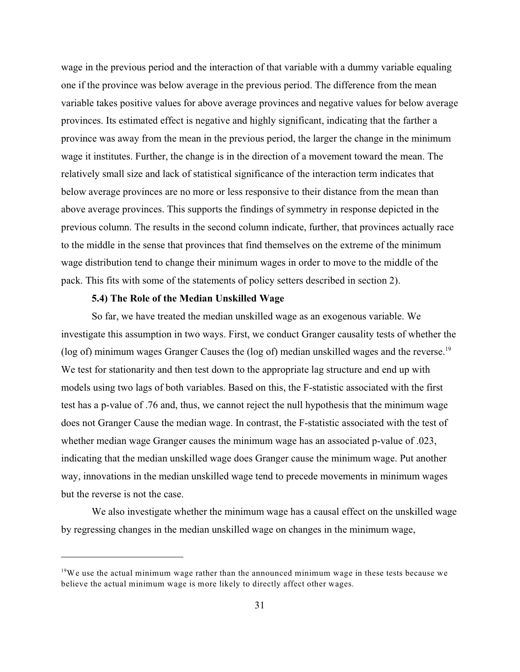wage in the previous period and the interaction of that variable with a dummy variable equaling one if the province was below average in the previous period. The difference from the mean variable takes positive values for above average provinces and negative values for below average provinces. Its estimated effect is negative and highly significant, indicating that the farther a province was away from the mean in the previous period, the larger the change in the minimum wage it institutes. Further, the change is in the direction of a movement toward the mean. The relatively small size and lack of statistical significance of the interaction term indicates that below average provinces are no more or less responsive to their distance from the mean than above average provinces. This supports the findings of symmetry in response depicted in the previous column. The results in the second column indicate, further, that provinces actually race to the middle in the sense that provinces that find themselves on the extreme of the minimum wage distribution tend to change their minimum wages in order to move to the middle of the pack. This fits with some of the statements of policy setters described in section 2).

# **5.4) The Role of the Median Unskilled Wage**

So far, we have treated the median unskilled wage as an exogenous variable. We investigate this assumption in two ways. First, we conduct Granger causality tests of whether the (log of) minimum wages Granger Causes the (log of) median unskilled wages and the reverse.<sup>19</sup> We test for stationarity and then test down to the appropriate lag structure and end up with models using two lags of both variables. Based on this, the F-statistic associated with the first test has a p-value of .76 and, thus, we cannot reject the null hypothesis that the minimum wage does not Granger Cause the median wage. In contrast, the F-statistic associated with the test of whether median wage Granger causes the minimum wage has an associated p-value of .023, indicating that the median unskilled wage does Granger cause the minimum wage. Put another way, innovations in the median unskilled wage tend to precede movements in minimum wages but the reverse is not the case.

We also investigate whether the minimum wage has a causal effect on the unskilled wage by regressing changes in the median unskilled wage on changes in the minimum wage,

 $19W$ e use the actual minimum wage rather than the announced minimum wage in these tests because we believe the actual minimum wage is more likely to directly affect other wages.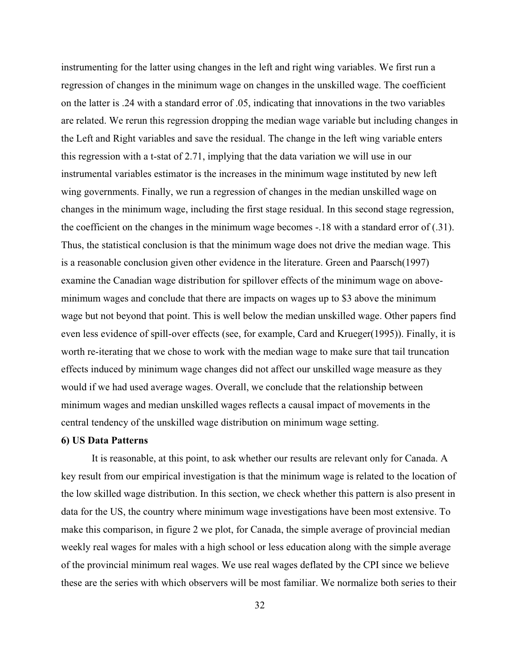instrumenting for the latter using changes in the left and right wing variables. We first run a regression of changes in the minimum wage on changes in the unskilled wage. The coefficient on the latter is .24 with a standard error of .05, indicating that innovations in the two variables are related. We rerun this regression dropping the median wage variable but including changes in the Left and Right variables and save the residual. The change in the left wing variable enters this regression with a t-stat of 2.71, implying that the data variation we will use in our instrumental variables estimator is the increases in the minimum wage instituted by new left wing governments. Finally, we run a regression of changes in the median unskilled wage on changes in the minimum wage, including the first stage residual. In this second stage regression, the coefficient on the changes in the minimum wage becomes -.18 with a standard error of (.31). Thus, the statistical conclusion is that the minimum wage does not drive the median wage. This is a reasonable conclusion given other evidence in the literature. Green and Paarsch(1997) examine the Canadian wage distribution for spillover effects of the minimum wage on aboveminimum wages and conclude that there are impacts on wages up to \$3 above the minimum wage but not beyond that point. This is well below the median unskilled wage. Other papers find even less evidence of spill-over effects (see, for example, Card and Krueger(1995)). Finally, it is worth re-iterating that we chose to work with the median wage to make sure that tail truncation effects induced by minimum wage changes did not affect our unskilled wage measure as they would if we had used average wages. Overall, we conclude that the relationship between minimum wages and median unskilled wages reflects a causal impact of movements in the central tendency of the unskilled wage distribution on minimum wage setting.

# **6) US Data Patterns**

It is reasonable, at this point, to ask whether our results are relevant only for Canada. A key result from our empirical investigation is that the minimum wage is related to the location of the low skilled wage distribution. In this section, we check whether this pattern is also present in data for the US, the country where minimum wage investigations have been most extensive. To make this comparison, in figure 2 we plot, for Canada, the simple average of provincial median weekly real wages for males with a high school or less education along with the simple average of the provincial minimum real wages. We use real wages deflated by the CPI since we believe these are the series with which observers will be most familiar. We normalize both series to their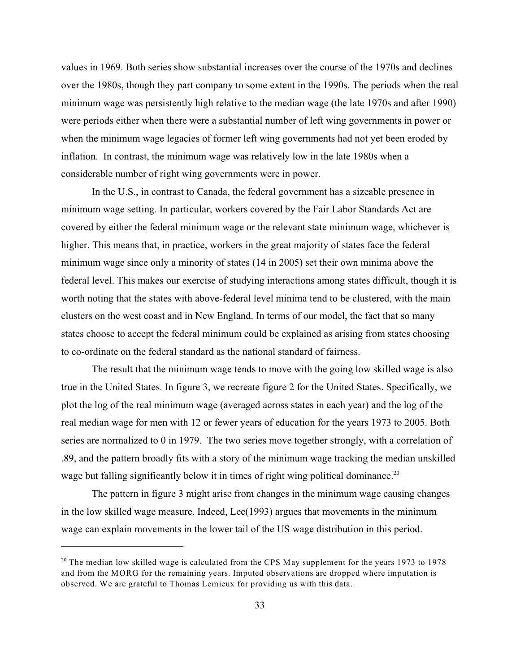values in 1969. Both series show substantial increases over the course of the 1970s and declines over the 1980s, though they part company to some extent in the 1990s. The periods when the real minimum wage was persistently high relative to the median wage (the late 1970s and after 1990) were periods either when there were a substantial number of left wing governments in power or when the minimum wage legacies of former left wing governments had not yet been eroded by inflation. In contrast, the minimum wage was relatively low in the late 1980s when a considerable number of right wing governments were in power.

In the U.S., in contrast to Canada, the federal government has a sizeable presence in minimum wage setting. In particular, workers covered by the Fair Labor Standards Act are covered by either the federal minimum wage or the relevant state minimum wage, whichever is higher. This means that, in practice, workers in the great majority of states face the federal minimum wage since only a minority of states (14 in 2005) set their own minima above the federal level. This makes our exercise of studying interactions among states difficult, though it is worth noting that the states with above-federal level minima tend to be clustered, with the main clusters on the west coast and in New England. In terms of our model, the fact that so many states choose to accept the federal minimum could be explained as arising from states choosing to co-ordinate on the federal standard as the national standard of fairness.

The result that the minimum wage tends to move with the going low skilled wage is also true in the United States. In figure 3, we recreate figure 2 for the United States. Specifically, we plot the log of the real minimum wage (averaged across states in each year) and the log of the real median wage for men with 12 or fewer years of education for the years 1973 to 2005. Both series are normalized to 0 in 1979. The two series move together strongly, with a correlation of .89, and the pattern broadly fits with a story of the minimum wage tracking the median unskilled wage but falling significantly below it in times of right wing political dominance.<sup>20</sup>

The pattern in figure 3 might arise from changes in the minimum wage causing changes in the low skilled wage measure. Indeed, Lee(1993) argues that movements in the minimum wage can explain movements in the lower tail of the US wage distribution in this period.

 $20$  The median low skilled wage is calculated from the CPS May supplement for the years 1973 to 1978 and from the MORG for the remaining years. Imputed observations are dropped where imputation is observed. We are grateful to Thomas Lemieux for providing us with this data.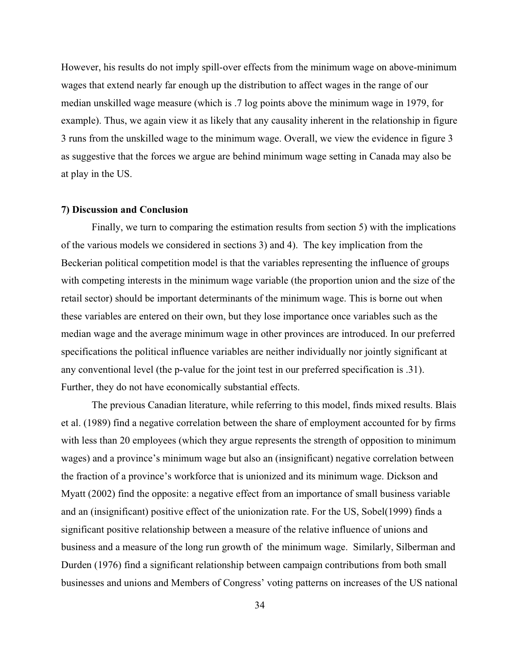However, his results do not imply spill-over effects from the minimum wage on above-minimum wages that extend nearly far enough up the distribution to affect wages in the range of our median unskilled wage measure (which is .7 log points above the minimum wage in 1979, for example). Thus, we again view it as likely that any causality inherent in the relationship in figure 3 runs from the unskilled wage to the minimum wage. Overall, we view the evidence in figure 3 as suggestive that the forces we argue are behind minimum wage setting in Canada may also be at play in the US.

#### **7) Discussion and Conclusion**

Finally, we turn to comparing the estimation results from section 5) with the implications of the various models we considered in sections 3) and 4). The key implication from the Beckerian political competition model is that the variables representing the influence of groups with competing interests in the minimum wage variable (the proportion union and the size of the retail sector) should be important determinants of the minimum wage. This is borne out when these variables are entered on their own, but they lose importance once variables such as the median wage and the average minimum wage in other provinces are introduced. In our preferred specifications the political influence variables are neither individually nor jointly significant at any conventional level (the p-value for the joint test in our preferred specification is .31). Further, they do not have economically substantial effects.

The previous Canadian literature, while referring to this model, finds mixed results. Blais et al. (1989) find a negative correlation between the share of employment accounted for by firms with less than 20 employees (which they argue represents the strength of opposition to minimum wages) and a province's minimum wage but also an (insignificant) negative correlation between the fraction of a province's workforce that is unionized and its minimum wage. Dickson and Myatt (2002) find the opposite: a negative effect from an importance of small business variable and an (insignificant) positive effect of the unionization rate. For the US, Sobel(1999) finds a significant positive relationship between a measure of the relative influence of unions and business and a measure of the long run growth of the minimum wage. Similarly, Silberman and Durden (1976) find a significant relationship between campaign contributions from both small businesses and unions and Members of Congress' voting patterns on increases of the US national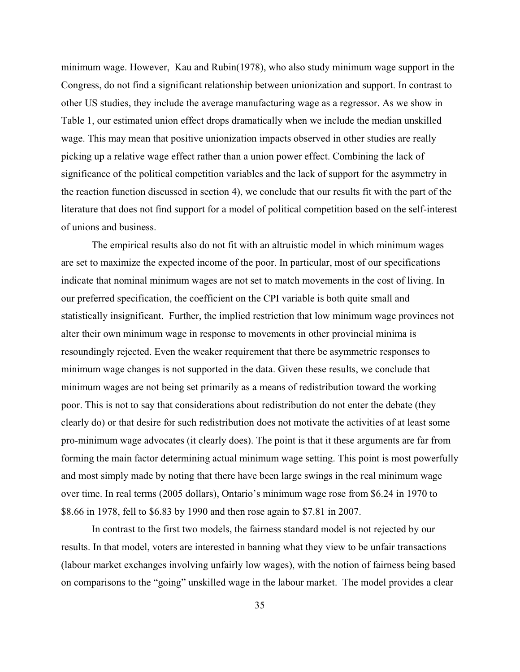minimum wage. However, Kau and Rubin(1978), who also study minimum wage support in the Congress, do not find a significant relationship between unionization and support. In contrast to other US studies, they include the average manufacturing wage as a regressor. As we show in Table 1, our estimated union effect drops dramatically when we include the median unskilled wage. This may mean that positive unionization impacts observed in other studies are really picking up a relative wage effect rather than a union power effect. Combining the lack of significance of the political competition variables and the lack of support for the asymmetry in the reaction function discussed in section 4), we conclude that our results fit with the part of the literature that does not find support for a model of political competition based on the self-interest of unions and business.

The empirical results also do not fit with an altruistic model in which minimum wages are set to maximize the expected income of the poor. In particular, most of our specifications indicate that nominal minimum wages are not set to match movements in the cost of living. In our preferred specification, the coefficient on the CPI variable is both quite small and statistically insignificant. Further, the implied restriction that low minimum wage provinces not alter their own minimum wage in response to movements in other provincial minima is resoundingly rejected. Even the weaker requirement that there be asymmetric responses to minimum wage changes is not supported in the data. Given these results, we conclude that minimum wages are not being set primarily as a means of redistribution toward the working poor. This is not to say that considerations about redistribution do not enter the debate (they clearly do) or that desire for such redistribution does not motivate the activities of at least some pro-minimum wage advocates (it clearly does). The point is that it these arguments are far from forming the main factor determining actual minimum wage setting. This point is most powerfully and most simply made by noting that there have been large swings in the real minimum wage over time. In real terms (2005 dollars), Ontario's minimum wage rose from \$6.24 in 1970 to \$8.66 in 1978, fell to \$6.83 by 1990 and then rose again to \$7.81 in 2007.

In contrast to the first two models, the fairness standard model is not rejected by our results. In that model, voters are interested in banning what they view to be unfair transactions (labour market exchanges involving unfairly low wages), with the notion of fairness being based on comparisons to the "going" unskilled wage in the labour market. The model provides a clear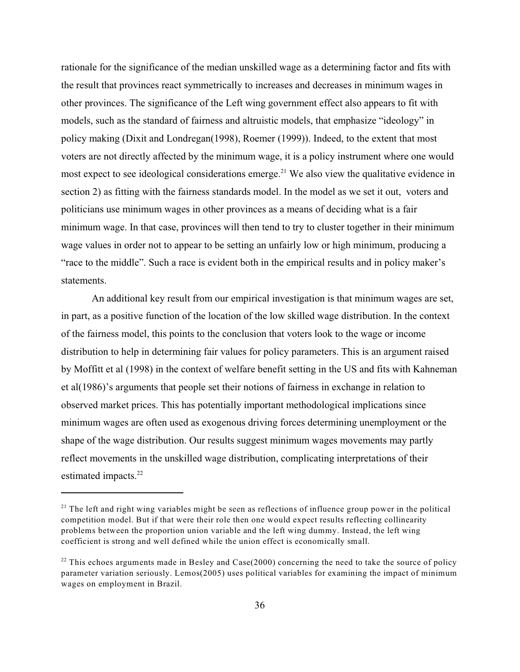rationale for the significance of the median unskilled wage as a determining factor and fits with the result that provinces react symmetrically to increases and decreases in minimum wages in other provinces. The significance of the Left wing government effect also appears to fit with models, such as the standard of fairness and altruistic models, that emphasize "ideology" in policy making (Dixit and Londregan(1998), Roemer (1999)). Indeed, to the extent that most voters are not directly affected by the minimum wage, it is a policy instrument where one would most expect to see ideological considerations emerge.<sup>21</sup> We also view the qualitative evidence in section 2) as fitting with the fairness standards model. In the model as we set it out, voters and politicians use minimum wages in other provinces as a means of deciding what is a fair minimum wage. In that case, provinces will then tend to try to cluster together in their minimum wage values in order not to appear to be setting an unfairly low or high minimum, producing a "race to the middle". Such a race is evident both in the empirical results and in policy maker's statements.

An additional key result from our empirical investigation is that minimum wages are set, in part, as a positive function of the location of the low skilled wage distribution. In the context of the fairness model, this points to the conclusion that voters look to the wage or income distribution to help in determining fair values for policy parameters. This is an argument raised by Moffitt et al (1998) in the context of welfare benefit setting in the US and fits with Kahneman et al(1986)'s arguments that people set their notions of fairness in exchange in relation to observed market prices. This has potentially important methodological implications since minimum wages are often used as exogenous driving forces determining unemployment or the shape of the wage distribution. Our results suggest minimum wages movements may partly reflect movements in the unskilled wage distribution, complicating interpretations of their estimated impacts. 22

 $21$  The left and right wing variables might be seen as reflections of influence group power in the political competition model. But if that were their role then one would expect results reflecting collinearity problems between the proportion union variable and the left wing dummy. Instead, the left wing coefficient is strong and well defined while the union effect is economically small.

 $22$  This echoes arguments made in Besley and Case(2000) concerning the need to take the source of policy parameter variation seriously. Lemos(2005) uses political variables for examining the impact of minimum wages on employment in Brazil.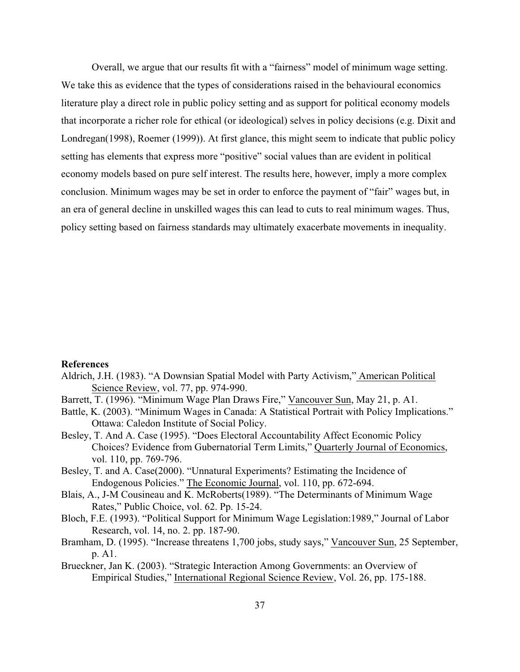Overall, we argue that our results fit with a "fairness" model of minimum wage setting. We take this as evidence that the types of considerations raised in the behavioural economics literature play a direct role in public policy setting and as support for political economy models that incorporate a richer role for ethical (or ideological) selves in policy decisions (e.g. Dixit and Londregan(1998), Roemer (1999)). At first glance, this might seem to indicate that public policy setting has elements that express more "positive" social values than are evident in political economy models based on pure self interest. The results here, however, imply a more complex conclusion. Minimum wages may be set in order to enforce the payment of "fair" wages but, in an era of general decline in unskilled wages this can lead to cuts to real minimum wages. Thus, policy setting based on fairness standards may ultimately exacerbate movements in inequality.

#### **References**

- Aldrich, J.H. (1983). "A Downsian Spatial Model with Party Activism," American Political Science Review, vol. 77, pp. 974-990.
- Barrett, T. (1996). "Minimum Wage Plan Draws Fire," Vancouver Sun, May 21, p. A1.
- Battle, K. (2003). "Minimum Wages in Canada: A Statistical Portrait with Policy Implications." Ottawa: Caledon Institute of Social Policy.
- Besley, T. And A. Case (1995). "Does Electoral Accountability Affect Economic Policy Choices? Evidence from Gubernatorial Term Limits," Quarterly Journal of Economics, vol. 110, pp. 769-796.
- Besley, T. and A. Case(2000). "Unnatural Experiments? Estimating the Incidence of Endogenous Policies." The Economic Journal, vol. 110, pp. 672-694.
- Blais, A., J-M Cousineau and K. McRoberts(1989). "The Determinants of Minimum Wage Rates," Public Choice, vol. 62. Pp. 15-24.
- Bloch, F.E. (1993). "Political Support for Minimum Wage Legislation:1989," Journal of Labor Research, vol. 14, no. 2. pp. 187-90.
- Bramham, D. (1995). "Increase threatens 1,700 jobs, study says," Vancouver Sun, 25 September, p. A1.
- Brueckner, Jan K. (2003). "Strategic Interaction Among Governments: an Overview of Empirical Studies," International Regional Science Review, Vol. 26, pp. 175-188.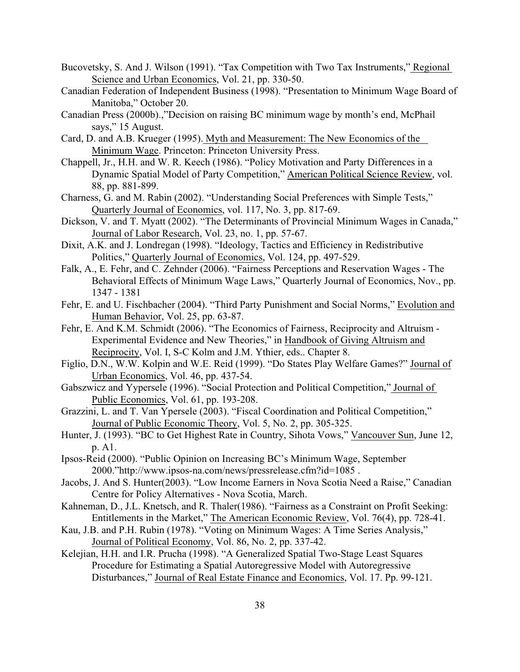- Bucovetsky, S. And J. Wilson (1991). "Tax Competition with Two Tax Instruments," Regional Science and Urban Economics, Vol. 21, pp. 330-50.
- Canadian Federation of Independent Business (1998). "Presentation to Minimum Wage Board of Manitoba," October 20.
- Canadian Press (2000b).,"Decision on raising BC minimum wage by month's end, McPhail says," 15 August.
- Card, D. and A.B. Krueger (1995). Myth and Measurement: The New Economics of the Minimum Wage. Princeton: Princeton University Press.
- Chappell, Jr., H.H. and W. R. Keech (1986). "Policy Motivation and Party Differences in a Dynamic Spatial Model of Party Competition," American Political Science Review, vol. 88, pp. 881-899.
- Charness, G. and M. Rabin (2002). "Understanding Social Preferences with Simple Tests," Quarterly Journal of Economics, vol. 117, No. 3, pp. 817-69.
- Dickson, V. and T. Myatt (2002). "The Determinants of Provincial Minimum Wages in Canada," Journal of Labor Research, Vol. 23, no. 1, pp. 57-67.
- Dixit, A.K. and J. Londregan (1998). "Ideology, Tactics and Efficiency in Redistributive Politics," Quarterly Journal of Economics, Vol. 124, pp. 497-529.
- Falk, A., E. Fehr, and C. Zehnder (2006). "Fairness Perceptions and Reservation Wages The Behavioral Effects of Minimum Wage Laws," Quarterly Journal of Economics, Nov., pp. 1347 - 1381
- Fehr, E. and U. Fischbacher (2004). "Third Party Punishment and Social Norms," Evolution and Human Behavior, Vol. 25, pp. 63-87.
- Fehr, E. And K.M. Schmidt (2006). "The Economics of Fairness, Reciprocity and Altruism Experimental Evidence and New Theories," in Handbook of Giving Altruism and Reciprocity, Vol. I, S-C Kolm and J.M. Ythier, eds.. Chapter 8.
- Figlio, D.N., W.W. Kolpin and W.E. Reid (1999). "Do States Play Welfare Games?" Journal of Urban Economics, Vol. 46, pp. 437-54.
- Gabszwicz and Yypersele (1996). "Social Protection and Political Competition," Journal of Public Economics, Vol. 61, pp. 193-208.
- Grazzini, L. and T. Van Ypersele (2003). "Fiscal Coordination and Political Competition," Journal of Public Economic Theory, Vol. 5, No. 2, pp. 305-325.
- Hunter, J. (1993). "BC to Get Highest Rate in Country, Sihota Vows," Vancouver Sun, June 12, p. A1.
- Ipsos-Reid (2000). "Public Opinion on Increasing BC's Minimum Wage, September 2000."http://www.ipsos-na.com/news/pressrelease.cfm?id=1085 .
- Jacobs, J. And S. Hunter(2003). "Low Income Earners in Nova Scotia Need a Raise," Canadian Centre for Policy Alternatives - Nova Scotia, March.
- Kahneman, D., J.L. Knetsch, and R. Thaler(1986). "Fairness as a Constraint on Profit Seeking: Entitlements in the Market," The American Economic Review, Vol. 76(4), pp. 728-41.
- Kau, J.B. and P.H. Rubin (1978). "Voting on Minimum Wages: A Time Series Analysis," Journal of Political Economy, Vol. 86, No. 2, pp. 337-42.
- Kelejian, H.H. and I.R. Prucha (1998). "A Generalized Spatial Two-Stage Least Squares Procedure for Estimating a Spatial Autoregressive Model with Autoregressive Disturbances," Journal of Real Estate Finance and Economics, Vol. 17. Pp. 99-121.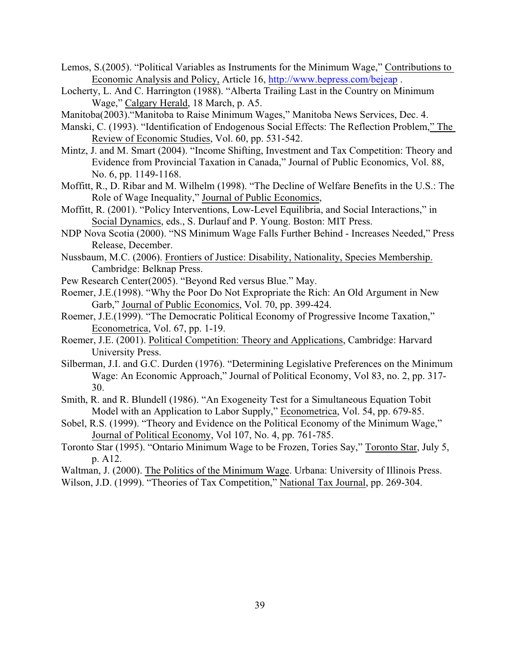- Lemos, S.(2005). "Political Variables as Instruments for the Minimum Wage," Contributions to Economic Analysis and Policy, Article 16,<http://www.bepress.com/bejeap> .
- Locherty, L. And C. Harrington (1988). "Alberta Trailing Last in the Country on Minimum Wage," Calgary Herald, 18 March, p. A5.
- Manitoba(2003)."Manitoba to Raise Minimum Wages," Manitoba News Services, Dec. 4.
- Manski, C. (1993). "Identification of Endogenous Social Effects: The Reflection Problem," The Review of Economic Studies, Vol. 60, pp. 531-542.
- Mintz, J. and M. Smart (2004). "Income Shifting, Investment and Tax Competition: Theory and Evidence from Provincial Taxation in Canada," Journal of Public Economics, Vol. 88, No. 6, pp. 1149-1168.
- Moffitt, R., D. Ribar and M. Wilhelm (1998). "The Decline of Welfare Benefits in the U.S.: The Role of Wage Inequality," Journal of Public Economics,
- Moffitt, R. (2001). "Policy Interventions, Low-Level Equilibria, and Social Interactions," in Social Dynamics, eds., S. Durlauf and P. Young. Boston: MIT Press.
- NDP Nova Scotia (2000). "NS Minimum Wage Falls Further Behind Increases Needed," Press Release, December.
- Nussbaum, M.C. (2006). Frontiers of Justice: Disability, Nationality, Species Membership. Cambridge: Belknap Press.
- Pew Research Center(2005). "Beyond Red versus Blue." May.
- Roemer, J.E.(1998). "Why the Poor Do Not Expropriate the Rich: An Old Argument in New Garb," Journal of Public Economics, Vol. 70, pp. 399-424.
- Roemer, J.E.(1999). "The Democratic Political Economy of Progressive Income Taxation," Econometrica, Vol. 67, pp. 1-19.
- Roemer, J.E. (2001). Political Competition: Theory and Applications, Cambridge: Harvard University Press.
- Silberman, J.I. and G.C. Durden (1976). "Determining Legislative Preferences on the Minimum Wage: An Economic Approach," Journal of Political Economy, Vol 83, no. 2, pp. 317- 30.
- Smith, R. and R. Blundell (1986). "An Exogeneity Test for a Simultaneous Equation Tobit Model with an Application to Labor Supply," Econometrica, Vol. 54, pp. 679-85.
- Sobel, R.S. (1999). "Theory and Evidence on the Political Economy of the Minimum Wage," Journal of Political Economy, Vol 107, No. 4, pp. 761-785.
- Toronto Star (1995). "Ontario Minimum Wage to be Frozen, Tories Say," Toronto Star, July 5, p. A12.
- Waltman, J. (2000). The Politics of the Minimum Wage. Urbana: University of Illinois Press.
- Wilson, J.D. (1999). "Theories of Tax Competition," National Tax Journal, pp. 269-304.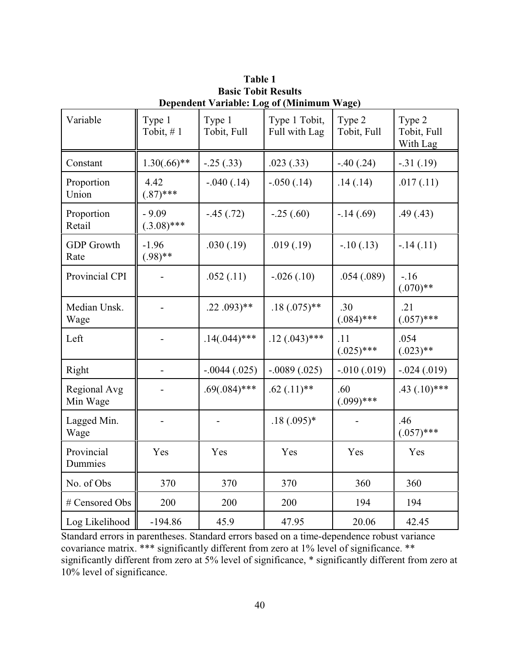| Variable                  | Type 1<br>Tobit, #1      | Type 1<br>Tobit, Full   | Type 1 Tobit,<br>Full with Lag | Type 2<br>Tobit, Full | Type 2<br>Tobit, Full<br>With Lag |
|---------------------------|--------------------------|-------------------------|--------------------------------|-----------------------|-----------------------------------|
| Constant                  | $1.30(.66)$ **           | $-.25(.33)$             | .023(.33)                      | $-.40(.24)$           | $-.31(.19)$                       |
| Proportion<br>Union       | 4.42<br>$(.87)$ ***      | $-.040(.14)$            | $-.050(.14)$                   | .14(.14)              | .017(.11)                         |
| Proportion<br>Retail      | $-9.09$<br>$(.3.08)$ *** | $-.45(.72)$             | $-.25(.60)$                    | $-.14(.69)$           | .49(.43)                          |
| <b>GDP</b> Growth<br>Rate | $-1.96$<br>$(.98)$ **    | .030(.19)               | .019(.19)                      | $-.10(.13)$           | $-.14(.11)$                       |
| Provincial CPI            |                          | .052(.11)               | $-.026(.10)$                   | .054(.089)            | $-16$<br>$(.070)$ **              |
| Median Unsk.<br>Wage      |                          | $.22.093$ <sup>**</sup> | $.18(.075)$ **                 | .30<br>$(.084)$ ***   | .21<br>$(.057)$ ***               |
| Left                      |                          | $.14(.044)$ ***         | $.12(.043)$ ***                | .11<br>$(.025)$ ***   | .054<br>$(.023)$ **               |
| Right                     |                          | $-.0044(.025)$          | $-.0089(.025)$                 | $-0.010(0.019)$       | $-.024(.019)$                     |
| Regional Avg<br>Min Wage  |                          | $.69(.084)$ ***         | $.62$ $(.11)$ **               | .60<br>$(.099)$ ***   | $.43$ $(.10)$ ***                 |
| Lagged Min.<br>Wage       |                          |                         | $.18(.095)*$                   |                       | .46<br>$(.057)$ ***               |
| Provincial<br>Dummies     | Yes                      | Yes                     | Yes                            | Yes                   | Yes                               |
| No. of Obs                | 370                      | 370                     | 370                            | 360                   | 360                               |
| # Censored Obs            | 200                      | 200                     | 200                            | 194                   | 194                               |
| Log Likelihood            | $-194.86$                | 45.9                    | 47.95                          | 20.06                 | 42.45                             |

**Table 1 Basic Tobit Results Dependent Variable: Log of (Minimum Wage)**

Standard errors in parentheses. Standard errors based on a time-dependence robust variance covariance matrix. \*\*\* significantly different from zero at 1% level of significance. \*\* significantly different from zero at 5% level of significance, \* significantly different from zero at 10% level of significance.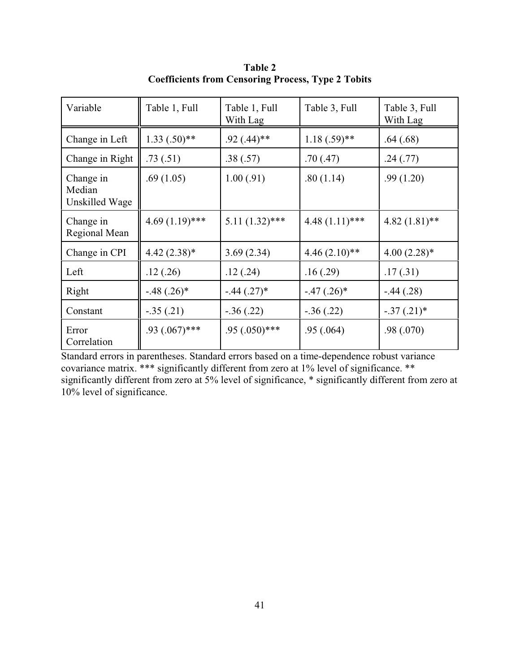| Variable                              | Table 1, Full    | Table 1, Full<br>With Lag | Table 3, Full    | Table 3, Full<br>With Lag |
|---------------------------------------|------------------|---------------------------|------------------|---------------------------|
| Change in Left                        | $1.33(.50)$ **   | $.92(.44)$ **             | $1.18(.59)$ **   | .64(.68)                  |
| Change in Right                       | .73(.51)         | .38(.57)                  | .70(0.47)        | .24(.77)                  |
| Change in<br>Median<br>Unskilled Wage | .69(1.05)        | 1.00(.91)                 | .80(1.14)        | .99(1.20)                 |
| Change in<br>Regional Mean            | $4.69(1.19)$ *** | $5.11(1.32)$ ***          | $4.48(1.11)$ *** | $4.82(1.81)$ **           |
| Change in CPI                         | $4.42(2.38)*$    | 3.69(2.34)                | $4.46(2.10)**$   | $4.00(2.28)$ *            |
| Left                                  | .12(.26)         | .12(.24)                  | .16(.29)         | .17(0.31)                 |
| Right                                 | $-.48(.26)$ *    | $-.44(.27)$ *             | $-.47(.26)$ *    | $-.44(.28)$               |
| Constant                              | $-.35(.21)$      | $-.36(.22)$               | $-.36(.22)$      | $-.37(.21)*$              |
| Error<br>Correlation                  | $.93(.067)$ ***  | $.95(.050)$ ***           | .95(.064)        | .98(.070)                 |

**Table 2 Coefficients from Censoring Process, Type 2 Tobits**

Standard errors in parentheses. Standard errors based on a time-dependence robust variance covariance matrix. \*\*\* significantly different from zero at 1% level of significance. \*\* significantly different from zero at 5% level of significance, \* significantly different from zero at 10% level of significance.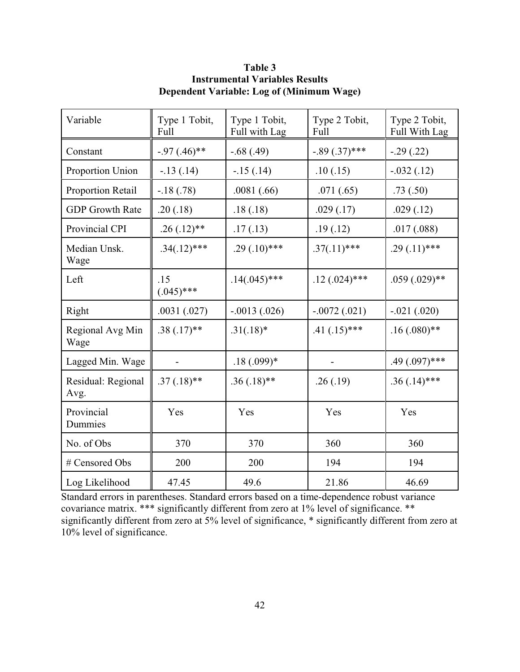| Variable                   | Type 1 Tobit,<br>Full | Type 1 Tobit,<br>Full with Lag | Type 2 Tobit,<br>Full | Type 2 Tobit,<br>Full With Lag |
|----------------------------|-----------------------|--------------------------------|-----------------------|--------------------------------|
| Constant                   | $-.97(.46)$ **        | $-.68(.49)$                    | $-.89(.37)$ ***       | $-.29(.22)$                    |
| Proportion Union           | $-.13(.14)$           | $-15(0.14)$                    | .10(.15)              | $-.032(.12)$                   |
| Proportion Retail          | $-.18(.78)$           | .0081(.66)                     | .071(.65)             | .73(.50)                       |
| <b>GDP</b> Growth Rate     | .20(.18)              | .18(.18)                       | .029(.17)             | .029(.12)                      |
| Provincial CPI             | $.26(.12)$ **         | .17(.13)                       | .19(.12)              | .017(.088)                     |
| Median Unsk.<br>Wage       | $.34(.12)$ ***        | $.29(.10)$ ***                 | $.37(.11)$ ***        | $.29(.11)$ ***                 |
| Left                       | .15<br>$(.045)$ ***   | $.14(.045)$ ***                | $.12(.024)$ ***       | $.059(.029)$ **                |
| Right                      | .0031(.027)           | $-.0013(.026)$                 | $-.0072(.021)$        | $-.021(.020)$                  |
| Regional Avg Min<br>Wage   | $.38(.17)$ **         | $.31(.18)*$                    | $.41(.15)***$         | $.16(.080)$ **                 |
| Lagged Min. Wage           |                       | $.18(.099)*$                   |                       | $.49(.097)$ ***                |
| Residual: Regional<br>Avg. | $.37(.18)$ **         | $.36(.18)$ **                  | .26(.19)              | $.36(.14)$ ***                 |
| Provincial<br>Dummies      | Yes                   | Yes                            | Yes                   | Yes                            |
| No. of Obs                 | 370                   | 370                            | 360                   | 360                            |
| # Censored Obs             | 200                   | 200                            | 194                   | 194                            |
| Log Likelihood             | 47.45                 | 49.6                           | 21.86                 | 46.69                          |

**Table 3 Instrumental Variables Results Dependent Variable: Log of (Minimum Wage)**

Standard errors in parentheses. Standard errors based on a time-dependence robust variance covariance matrix. \*\*\* significantly different from zero at 1% level of significance. \*\* significantly different from zero at 5% level of significance, \* significantly different from zero at 10% level of significance.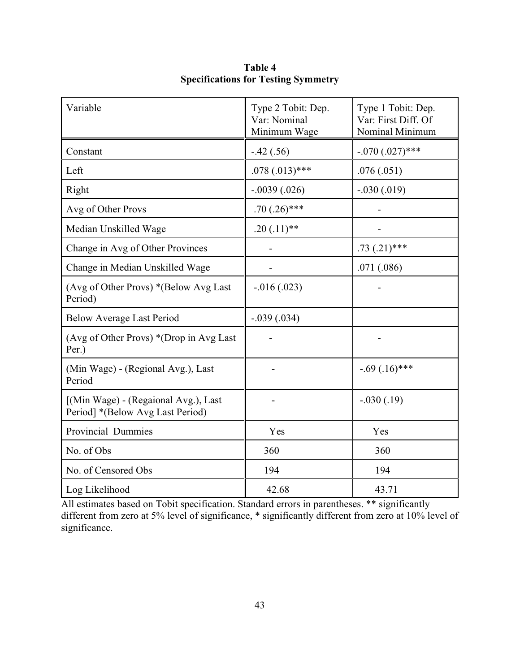| Variable                                                                 | Type 2 Tobit: Dep.<br>Var: Nominal<br>Minimum Wage | Type 1 Tobit: Dep.<br>Var: First Diff. Of<br>Nominal Minimum |
|--------------------------------------------------------------------------|----------------------------------------------------|--------------------------------------------------------------|
| Constant                                                                 | $-.42(.56)$                                        | $-.070(.027)$ ***                                            |
| Left                                                                     | $.078(.013)$ ***                                   | .076(.051)                                                   |
| Right                                                                    | $-.0039(.026)$                                     | $-.030(.019)$                                                |
| Avg of Other Provs                                                       | $.70(.26)$ ***                                     |                                                              |
| Median Unskilled Wage                                                    | $.20(.11)$ **                                      |                                                              |
| Change in Avg of Other Provinces                                         |                                                    | $.73(.21)$ ***                                               |
| Change in Median Unskilled Wage                                          |                                                    | .071(.086)                                                   |
| (Avg of Other Provs) *(Below Avg Last)<br>Period)                        | $-0.016(0.023)$                                    |                                                              |
| <b>Below Average Last Period</b>                                         | $-.039(.034)$                                      |                                                              |
| (Avg of Other Provs) *(Drop in Avg Last<br>Per.)                         |                                                    |                                                              |
| (Min Wage) - (Regional Avg.), Last<br>Period                             |                                                    | $-.69(.16)$ ***                                              |
| [(Min Wage) - (Regaional Avg.), Last<br>Period] *(Below Avg Last Period) |                                                    | $-.030(.19)$                                                 |
| Provincial Dummies                                                       | Yes                                                | Yes                                                          |
| No. of Obs                                                               | 360                                                | 360                                                          |
| No. of Censored Obs                                                      | 194                                                | 194                                                          |
| Log Likelihood                                                           | 42.68                                              | 43.71                                                        |

**Table 4 Specifications for Testing Symmetry**

All estimates based on Tobit specification. Standard errors in parentheses. \*\* significantly different from zero at 5% level of significance, \* significantly different from zero at 10% level of significance.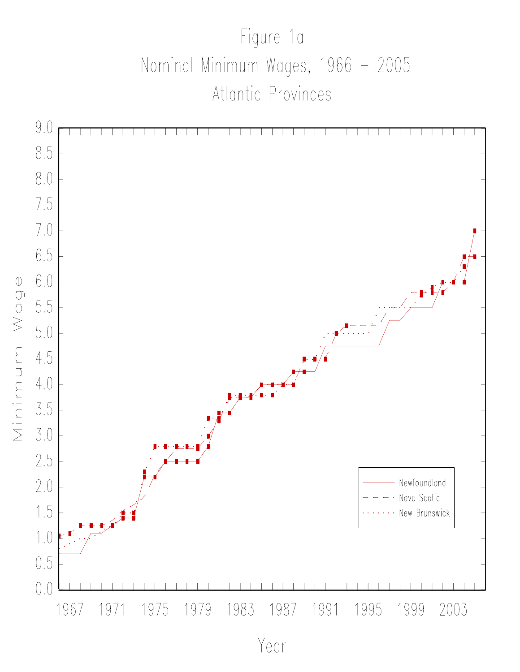# Figure 1a Nominal Minimum Wages, 1966 - 2005 Atlantic Provinces



Year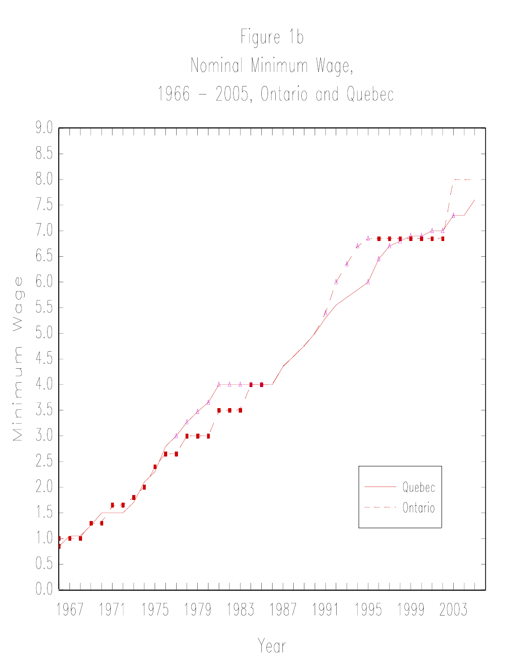

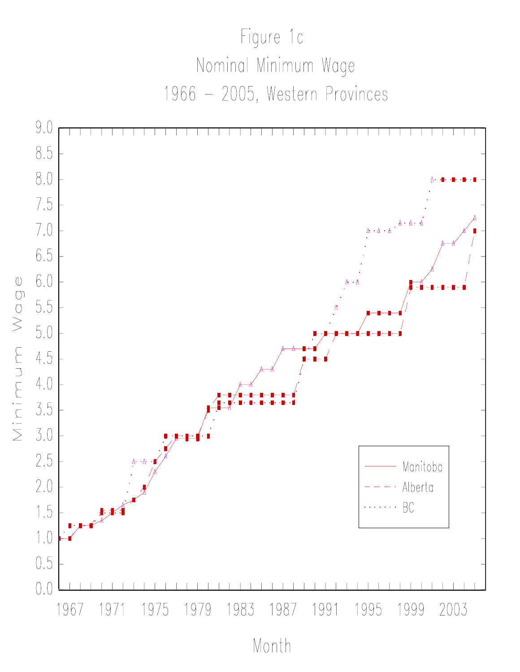

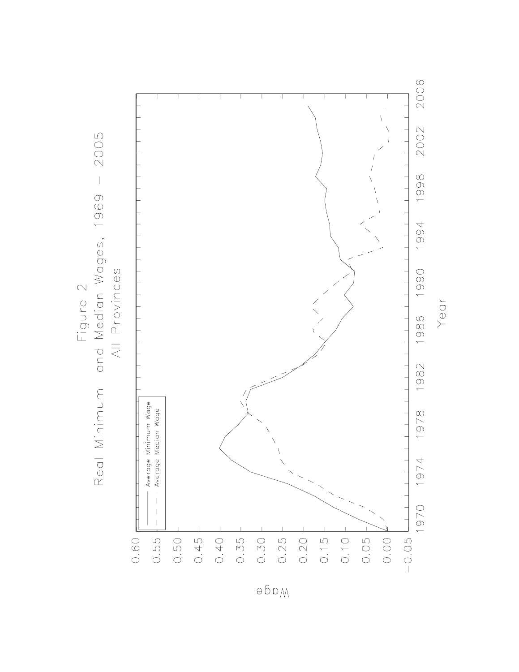

әбрм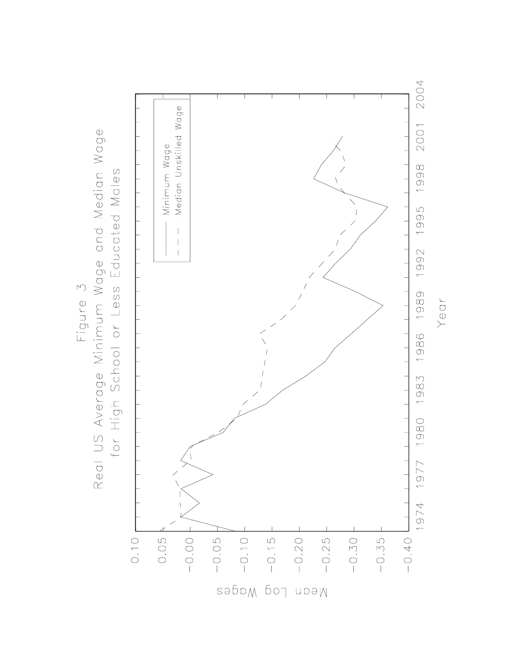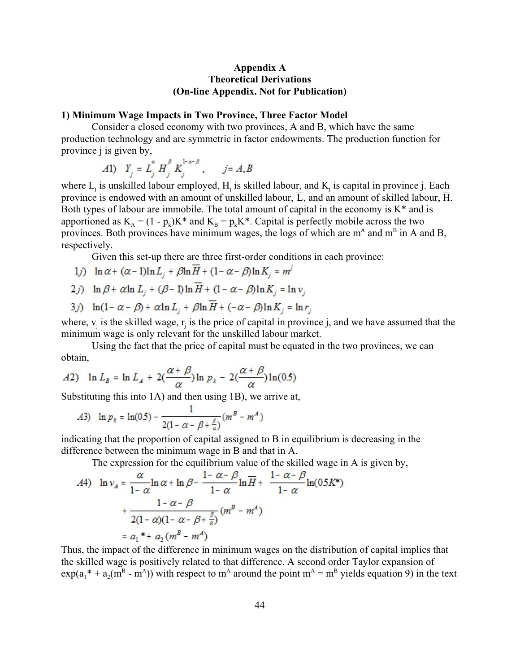# **Appendix A Theoretical Derivations (On-line Appendix. Not for Publication)**

# **1) Minimum Wage Impacts in Two Province, Three Factor Model**

Consider a closed economy with two provinces, A and B, which have the same production technology and are symmetric in factor endowments. The production function for province j is given by,

$$
A1) \quad Y_j = L_j^{\alpha} H_j^{\beta} K_j^{1-\alpha-\beta}, \qquad j = A, B
$$

where  $L_j$  is unskilled labour employed,  $H_j$  is skilled labour, and  $K_j$  is capital in province j. Each province is endowed with an amount of unskilled labour,  $\overline{L}$ , and an amount of skilled labour,  $\overline{H}$ . Both types of labour are immobile. The total amount of capital in the economy is  $K^*$  and is apportioned as  $K_A = (1 - p_k)K^*$  and  $K_B = p_kK^*$ . Capital is perfectly mobile across the two provinces. Both provinces have minimum wages, the logs of which are  $m<sup>A</sup>$  and  $m<sup>B</sup>$  in A and B, respectively.

Given this set-up there are three first-order conditions in each province:

- 1j)  $\ln \alpha + (\alpha 1)\ln L_i + \beta \ln \overline{H} + (1 \alpha \beta)\ln K_i = m^j$
- 2*j*)  $\ln \beta + \alpha \ln L_j + (\beta 1) \ln \overline{H} + (1 \alpha \beta) \ln K_j = \ln v_j$
- 3*j*)  $\ln(1-\alpha-\beta) + \alpha \ln L_j + \beta \ln \overline{H} + (-\alpha-\beta) \ln K_j = \ln r_j$

where,  $v_i$  is the skilled wage,  $r_i$  is the price of capital in province j, and we have assumed that the minimum wage is only relevant for the unskilled labour market.

Using the fact that the price of capital must be equated in the two provinces, we can obtain,

$$
A2) \quad \ln L_{B} = \ln L_{A} + 2\left(\frac{\alpha + \beta}{\alpha}\right) \ln p_{k} - 2\left(\frac{\alpha + \beta}{\alpha}\right) \ln(0.5)
$$

Substituting this into 1A) and then using 1B), we arrive at,

A3) 
$$
\ln p_k = \ln(0.5) - \frac{1}{2(1 - \alpha - \beta + \frac{\beta}{\alpha})}(m^B - m^A)
$$

indicating that the proportion of capital assigned to B in equilibrium is decreasing in the difference between the minimum wage in B and that in A.

The expression for the equilibrium value of the skilled wage in A is given by,

$$
A4) \quad \ln v_A = \frac{\alpha}{1 - \alpha} \ln \alpha + \ln \beta - \frac{1 - \alpha - \beta}{1 - \alpha} \ln \overline{H} + \frac{1 - \alpha - \beta}{1 - \alpha} \ln(0.5K^*)
$$

$$
+ \frac{1 - \alpha - \beta}{2(1 - \alpha)(1 - \alpha - \beta + \frac{\beta}{\alpha})} (m^B - m^A)
$$

$$
= a_1 * + a_2 (m^B - m^A)
$$

Thus, the impact of the difference in minimum wages on the distribution of capital implies that the skilled wage is positively related to that difference. A second order Taylor expansion of  $\exp(a_1^* + a_2(m^B - m^A))$  with respect to m<sup>A</sup> around the point m<sup>A</sup> = m<sup>B</sup> yields equation 9) in the text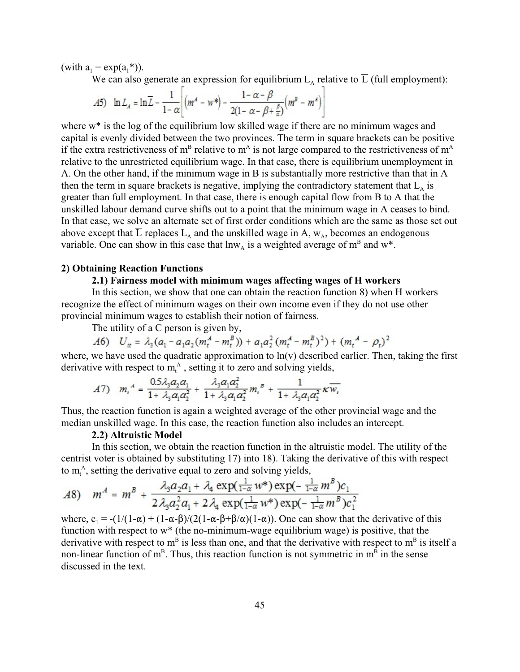(with  $a_1 = \exp(a_1^*)$ ).

We can also generate an expression for equilibrium  $L_A$  relative to  $\overline{L}$  (full employment):

$$
A5)\quad \ln L_A = \ln \overline{L} - \frac{1}{1-\alpha} \left[ \left( m^A - w^* \right) - \frac{1-\alpha-\beta}{2(1-\alpha-\beta+\frac{\beta}{\alpha})} \left( m^B - m^A \right) \right]
$$

where w<sup>\*</sup> is the log of the equilibrium low skilled wage if there are no minimum wages and capital is evenly divided between the two provinces. The term in square brackets can be positive if the extra restrictiveness of  $m<sup>B</sup>$  relative to  $m<sup>A</sup>$  is not large compared to the restrictiveness of  $m<sup>A</sup>$ relative to the unrestricted equilibrium wage. In that case, there is equilibrium unemployment in A. On the other hand, if the minimum wage in B is substantially more restrictive than that in A then the term in square brackets is negative, implying the contradictory statement that  $L_A$  is greater than full employment. In that case, there is enough capital flow from B to A that the unskilled labour demand curve shifts out to a point that the minimum wage in A ceases to bind. In that case, we solve an alternate set of first order conditions which are the same as those set out above except that  $\overline{L}$  replaces  $L_A$  and the unskilled wage in A,  $w_A$ , becomes an endogenous variable. One can show in this case that  $\text{lnw}_A$  is a weighted average of  $m^B$  and w<sup>\*</sup>.

# **2) Obtaining Reaction Functions**

# **2.1) Fairness model with minimum wages affecting wages of H workers**

In this section, we show that one can obtain the reaction function 8) when H workers recognize the effect of minimum wages on their own income even if they do not use other provincial minimum wages to establish their notion of fairness.

The utility of a C person is given by,

$$
A6) \quad U_{it} = \lambda_3 (a_1 - a_1 a_2 (m_t^A - m_t^B)) + a_1 a_2^2 (m_t^A - m_t^B)^2) + (m_t^A - \rho_t)^2
$$

where, we have used the quadratic approximation to  $ln(v)$  described earlier. Then, taking the first derivative with respect to  $m_t^A$ , setting it to zero and solving yields,

$$
A7) \quad m_i^A = \frac{0.5\lambda_3 a_2 a_1}{1 + \lambda_3 a_1 a_2^2} + \frac{\lambda_3 a_1 a_2^2}{1 + \lambda_3 a_1 a_2^2} m_i^B + \frac{1}{1 + \lambda_3 a_1 a_2^2} \kappa \overline{w_i}
$$

Thus, the reaction function is again a weighted average of the other provincial wage and the median unskilled wage. In this case, the reaction function also includes an intercept.

# **2.2) Altruistic Model**

In this section, we obtain the reaction function in the altruistic model. The utility of the centrist voter is obtained by substituting 17) into 18). Taking the derivative of this with respect to  $m_t^A$ , setting the derivative equal to zero and solving yields,

$$
A8) \quad m^4 = m^B + \frac{\lambda_3 a_2 a_1 + \lambda_4 \exp(\frac{1}{1-\alpha}w^*) \exp(-\frac{1}{1-\alpha}m^B)c_1}{2\lambda_3 a_2^2 a_1 + 2\lambda_4 \exp(\frac{1}{1-\alpha}w^*) \exp(-\frac{1}{1-\alpha}m^B)c_1^2}
$$

where,  $c_1 = -(1/(1-\alpha) + (1-\alpha-\beta)/(2(1-\alpha-\beta+\beta/\alpha)(1-\alpha))$ . One can show that the derivative of this function with respect to w\* (the no-minimum-wage equilibrium wage) is positive, that the derivative with respect to  $m<sup>B</sup>$  is less than one, and that the derivative with respect to  $m<sup>B</sup>$  is itself a non-linear function of  $m<sup>B</sup>$ . Thus, this reaction function is not symmetric in  $m<sup>B</sup>$  in the sense discussed in the text.